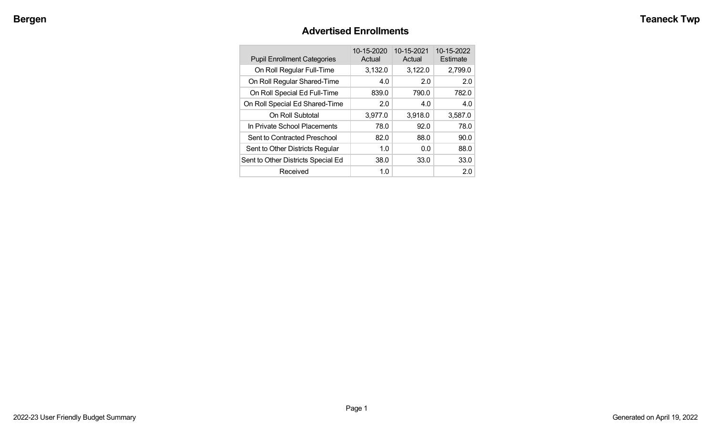# **Advertised Enrollments**

| <b>Pupil Enrollment Categories</b> | 10-15-2020<br>Actual | 10-15-2021<br>Actual | 10-15-2022<br>Estimate |
|------------------------------------|----------------------|----------------------|------------------------|
| On Roll Regular Full-Time          | 3,132.0              | 3,122.0              | 2,799.0                |
| On Roll Regular Shared-Time        | 4.0                  | 2.0                  | 2.0                    |
| On Roll Special Ed Full-Time       | 839.0                | 790.0                | 782.0                  |
| On Roll Special Ed Shared-Time     | 2.0                  | 4.0                  | 4.0                    |
| On Roll Subtotal                   | 3,977.0              | 3,918.0              | 3,587.0                |
| In Private School Placements       | 78.0                 | 92.0                 | 78.0                   |
| Sent to Contracted Preschool       | 82.0                 | 88.0                 | 90.0                   |
| Sent to Other Districts Regular    | 1.0                  | 0.0                  | 88.0                   |
| Sent to Other Districts Special Ed | 38.0                 | 33.0                 | 33.0                   |
| Received                           | 1.0                  |                      | 2.0                    |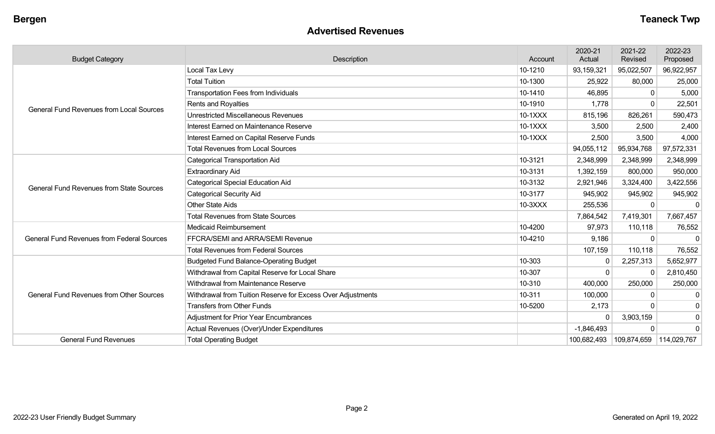#### **Advertised Revenues**

| <b>Budget Category</b>                            | <b>Description</b>                                                                                                                                                                                                                                                                                                                                                                                                                                                                            | Account | 2020-21<br>Actual | 2021-22<br>Revised | 2022-23<br>Proposed |
|---------------------------------------------------|-----------------------------------------------------------------------------------------------------------------------------------------------------------------------------------------------------------------------------------------------------------------------------------------------------------------------------------------------------------------------------------------------------------------------------------------------------------------------------------------------|---------|-------------------|--------------------|---------------------|
|                                                   | Local Tax Levy                                                                                                                                                                                                                                                                                                                                                                                                                                                                                | 10-1210 | 93,159,321        | 95,022,507         | 96,922,957          |
|                                                   | <b>Total Tuition</b>                                                                                                                                                                                                                                                                                                                                                                                                                                                                          | 10-1300 | 25,922            | 80,000             | 25,000              |
|                                                   | <b>Transportation Fees from Individuals</b>                                                                                                                                                                                                                                                                                                                                                                                                                                                   | 10-1410 | 46,895            | $\mathbf{0}$       | 5,000               |
| <b>General Fund Revenues from Local Sources</b>   | <b>Rents and Royalties</b>                                                                                                                                                                                                                                                                                                                                                                                                                                                                    | 10-1910 | 1,778             | $\Omega$           | 22,501              |
|                                                   | <b>Unrestricted Miscellaneous Revenues</b>                                                                                                                                                                                                                                                                                                                                                                                                                                                    | 10-1XXX | 815,196           | 826,261            | 590,473             |
|                                                   | Interest Earned on Maintenance Reserve                                                                                                                                                                                                                                                                                                                                                                                                                                                        | 10-1XXX | 3,500             | 2,500              | 2,400               |
|                                                   | Interest Earned on Capital Reserve Funds                                                                                                                                                                                                                                                                                                                                                                                                                                                      | 10-1XXX | 2,500             | 3,500              | 4,000               |
|                                                   | <b>Total Revenues from Local Sources</b>                                                                                                                                                                                                                                                                                                                                                                                                                                                      |         | 94,055,112        | 95,934,768         | 97,572,331          |
|                                                   | Categorical Transportation Aid                                                                                                                                                                                                                                                                                                                                                                                                                                                                | 10-3121 | 2,348,999         | 2,348,999          | 2,348,999           |
| <b>General Fund Revenues from State Sources</b>   | <b>Extraordinary Aid</b>                                                                                                                                                                                                                                                                                                                                                                                                                                                                      | 10-3131 | 1,392,159         | 800,000            | 950,000             |
|                                                   | <b>Categorical Special Education Aid</b>                                                                                                                                                                                                                                                                                                                                                                                                                                                      | 10-3132 | 2,921,946         | 3,324,400          | 3,422,556           |
|                                                   | <b>Categorical Security Aid</b>                                                                                                                                                                                                                                                                                                                                                                                                                                                               | 10-3177 | 945,902           | 945,902            | 945,902             |
|                                                   | <b>Other State Aids</b>                                                                                                                                                                                                                                                                                                                                                                                                                                                                       | 10-3XXX | 255,536           | $\mathbf{0}$       | $\mathbf{0}$        |
|                                                   | <b>Total Revenues from State Sources</b>                                                                                                                                                                                                                                                                                                                                                                                                                                                      |         | 7,864,542         | 7,419,301          | 7,667,457           |
|                                                   | <b>Medicaid Reimbursement</b><br>FFCRA/SEMI and ARRA/SEMI Revenue<br><b>Total Revenues from Federal Sources</b><br><b>Budgeted Fund Balance-Operating Budget</b><br>Withdrawal from Capital Reserve for Local Share<br>Withdrawal from Maintenance Reserve<br>Withdrawal from Tuition Reserve for Excess Over Adjustments<br><b>Transfers from Other Funds</b><br><b>Adjustment for Prior Year Encumbrances</b><br>Actual Revenues (Over)/Under Expenditures<br><b>Total Operating Budget</b> | 10-4200 | 97,973            | 110,118            | 76,552              |
| <b>General Fund Revenues from Federal Sources</b> |                                                                                                                                                                                                                                                                                                                                                                                                                                                                                               | 10-4210 | 9,186             | $\Omega$           | $\Omega$            |
|                                                   |                                                                                                                                                                                                                                                                                                                                                                                                                                                                                               |         | 107,159           | 110,118            | 76,552              |
|                                                   |                                                                                                                                                                                                                                                                                                                                                                                                                                                                                               | 10-303  | 0                 | 2,257,313          | 5,652,977           |
|                                                   |                                                                                                                                                                                                                                                                                                                                                                                                                                                                                               | 10-307  | $\Omega$          | $\Omega$           | 2,810,450           |
|                                                   |                                                                                                                                                                                                                                                                                                                                                                                                                                                                                               | 10-310  | 400,000           | 250,000            | 250,000             |
| <b>General Fund Revenues from Other Sources</b>   |                                                                                                                                                                                                                                                                                                                                                                                                                                                                                               | 10-311  | 100,000           | $\mathbf{0}$       | 0                   |
|                                                   |                                                                                                                                                                                                                                                                                                                                                                                                                                                                                               | 10-5200 | 2,173             | $\Omega$           | 0                   |
|                                                   |                                                                                                                                                                                                                                                                                                                                                                                                                                                                                               |         | $\Omega$          | 3,903,159          | 0                   |
|                                                   |                                                                                                                                                                                                                                                                                                                                                                                                                                                                                               |         | $-1,846,493$      | $\Omega$           | $\Omega$            |
| <b>General Fund Revenues</b>                      |                                                                                                                                                                                                                                                                                                                                                                                                                                                                                               |         | 100,682,493       | 109,874,659        | 114,029,767         |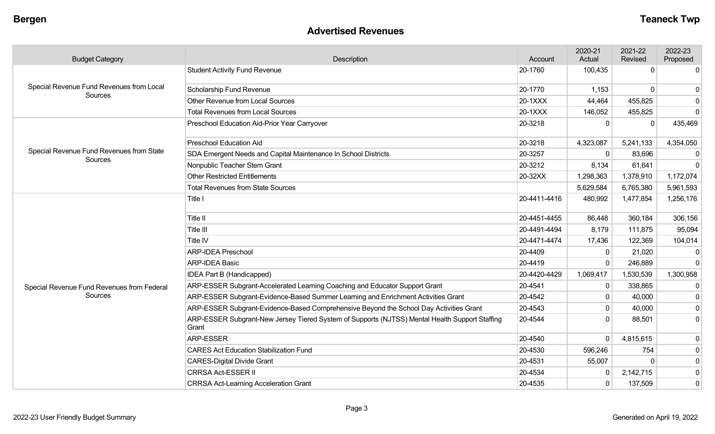#### **Advertised Revenues**

| <b>Budget Category</b>                              | Description                                                                                             | Account      | 2020-21<br>Actual | 2021-22<br>Revised | 2022-23<br>Proposed |
|-----------------------------------------------------|---------------------------------------------------------------------------------------------------------|--------------|-------------------|--------------------|---------------------|
| Special Revenue Fund Revenues from Local            | <b>Student Activity Fund Revenue</b>                                                                    | 20-1760      | 100,435           | $\mathbf 0$        | $\overline{0}$      |
|                                                     | Scholarship Fund Revenue                                                                                | 20-1770      | 1,153             | $\Omega$           | $\Omega$            |
| Sources                                             | Other Revenue from Local Sources                                                                        | 20-1XXX      | 44,464            | 455,825            | 0                   |
|                                                     | <b>Total Revenues from Local Sources</b>                                                                | 20-1XXX      | 146,052           | 455,825            | 0                   |
|                                                     | Preschool Education Aid-Prior Year Carryover                                                            | 20-3218      | $\Omega$          | $\Omega$           | 435,469             |
|                                                     | <b>Preschool Education Aid</b>                                                                          | 20-3218      | 4,323,087         | 5,241,133          | 4,354,050           |
| Special Revenue Fund Revenues from State<br>Sources | SDA Emergent Needs and Capital Maintenance In School Districts                                          | 20-3257      | $\mathbf{0}$      | 83,696             | $\mathbf{0}$        |
|                                                     | Nonpublic Teacher Stem Grant                                                                            | 20-3212      | 8,134             | 61,641             | $\Omega$            |
|                                                     | <b>Other Restricted Entitlements</b>                                                                    | 20-32XX      | 1,298,363         | 1,378,910          | 1,172,074           |
|                                                     | <b>Total Revenues from State Sources</b>                                                                |              | 5,629,584         | 6,765,380          | 5,961,593           |
|                                                     | Title I                                                                                                 | 20-4411-4416 | 480,992           | 1,477,854          | 1,256,176           |
|                                                     | Title II                                                                                                | 20-4451-4455 | 86,448            | 360,184            | 306,156             |
|                                                     | Title III                                                                                               | 20-4491-4494 | 8,179             | 111,875            | 95,094              |
|                                                     | Title IV                                                                                                | 20-4471-4474 | 17,436            | 122,369            | 104,014             |
|                                                     | <b>ARP-IDEA Preschool</b>                                                                               | 20-4409      | $\mathbf{0}$      | 21,020             | $\Omega$            |
|                                                     | <b>ARP-IDEA Basic</b>                                                                                   | 20-4419      | $\mathbf 0$       | 246,889            | $\mathbf 0$         |
|                                                     | IDEA Part B (Handicapped)                                                                               | 20-4420-4429 | 1,069,417         | 1,530,539          | 1,300,958           |
| Special Revenue Fund Revenues from Federal          | ARP-ESSER Subgrant-Accelerated Learning Coaching and Educator Support Grant                             | 20-4541      | 0                 | 338,865            | 0                   |
| Sources                                             | ARP-ESSER Subgrant-Evidence-Based Summer Learning and Enrichment Activities Grant                       | 20-4542      | $\mathbf 0$       | 40,000             | 0                   |
|                                                     | ARP-ESSER Subgrant-Evidence-Based Comprehensive Beyond the School Day Activities Grant                  | 20-4543      | $\mathbf 0$       | 40,000             | $\overline{0}$      |
|                                                     | ARP-ESSER Subgrant-New Jersey Tiered System of Supports (NJTSS) Mental Health Support Staffing<br>Grant | 20-4544      | $\Omega$          | 88,501             | 0                   |
|                                                     | ARP-ESSER                                                                                               | 20-4540      | $\mathbf 0$       | 4,815,615          | 0                   |
|                                                     | <b>CARES Act Education Stabilization Fund</b>                                                           | 20-4530      | 596,246           | 754                | $\overline{0}$      |
|                                                     | <b>CARES-Digital Divide Grant</b>                                                                       | 20-4531      | 55,007            | $\Omega$           | 0                   |
|                                                     | <b>CRRSA Act-ESSER II</b>                                                                               | 20-4534      | $\mathbf{0}$      | 2,142,715          | 0                   |
|                                                     | <b>CRRSA Act-Learning Acceleration Grant</b>                                                            | 20-4535      | $\mathbf 0$       | 137,509            | 0                   |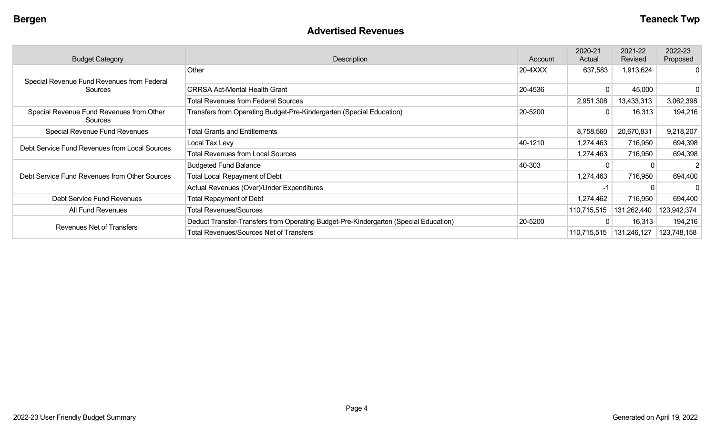#### **Advertised Revenues**

| <b>Budget Category</b>                              | Description                                                                          | Account   | 2020-21<br>Actual | 2021-22<br>Revised | 2022-23<br>Proposed |
|-----------------------------------------------------|--------------------------------------------------------------------------------------|-----------|-------------------|--------------------|---------------------|
| Special Revenue Fund Revenues from Federal          | Other                                                                                | $20-4XXX$ | 637,583           | 1,913,624          | $\Omega$            |
| Sources                                             | <b>CRRSA Act-Mental Health Grant</b>                                                 | 20-4536   | 0                 | 45,000             |                     |
|                                                     | <b>Total Revenues from Federal Sources</b>                                           |           | 2,951,308         | 13,433,313         | 3,062,398           |
| Special Revenue Fund Revenues from Other<br>Sources | Transfers from Operating Budget-Pre-Kindergarten (Special Education)                 | 20-5200   | $\mathbf{0}$      | 16,313             | 194,216             |
| Special Revenue Fund Revenues                       | <b>Total Grants and Entitlements</b>                                                 |           | 8,758,560         | 20,670,831         | 9,218,207           |
| Debt Service Fund Revenues from Local Sources       | Local Tax Levy                                                                       | 40-1210   | 1,274,463         | 716,950            | 694,398             |
|                                                     | <b>Total Revenues from Local Sources</b>                                             |           | 1,274,463         | 716,950            | 694,398             |
|                                                     | <b>Budgeted Fund Balance</b>                                                         | 40-303    | $\Omega$          |                    |                     |
| Debt Service Fund Revenues from Other Sources       | <b>Total Local Repayment of Debt</b>                                                 |           | 1,274,463         | 716,950            | 694,400             |
|                                                     | Actual Revenues (Over)/Under Expenditures                                            |           | -1                |                    | 0 <sup>1</sup>      |
| Debt Service Fund Revenues                          | <b>Total Repayment of Debt</b>                                                       |           | 1,274,462         | 716,950            | 694,400             |
| All Fund Revenues                                   | <b>Total Revenues/Sources</b>                                                        |           | 110,715,515       | 131,262,440        | 123,942,374         |
|                                                     | Deduct Transfer-Transfers from Operating Budget-Pre-Kindergarten (Special Education) | 20-5200   | $\mathbf 0$       | 16,313             | 194,216             |
| <b>Revenues Net of Transfers</b>                    | <b>Total Revenues/Sources Net of Transfers</b>                                       |           | 110,715,515       | 131,246,127        | 123,748,158         |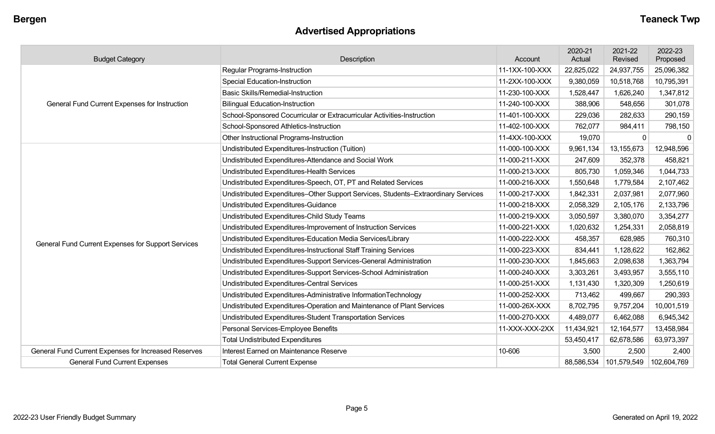# **Advertised Appropriations**

| <b>Budget Category</b>                               | Description                                                                        | Account        | 2020-21<br>Actual | 2021-22<br>Revised | 2022-23<br>Proposed |
|------------------------------------------------------|------------------------------------------------------------------------------------|----------------|-------------------|--------------------|---------------------|
|                                                      | Regular Programs-Instruction                                                       | 11-1XX-100-XXX | 22,825,022        | 24,937,755         | 25,096,382          |
|                                                      | <b>Special Education-Instruction</b>                                               | 11-2XX-100-XXX | 9,380,059         | 10,518,768         | 10,795,391          |
|                                                      | <b>Basic Skills/Remedial-Instruction</b>                                           | 11-230-100-XXX | 1,528,447         | 1,626,240          | 1,347,812           |
| General Fund Current Expenses for Instruction        | <b>Bilingual Education-Instruction</b>                                             | 11-240-100-XXX | 388,906           | 548,656            | 301,078             |
|                                                      | School-Sponsored Cocurricular or Extracurricular Activities-Instruction            | 11-401-100-XXX | 229,036           | 282,633            | 290,159             |
|                                                      | School-Sponsored Athletics-Instruction                                             | 11-402-100-XXX | 762,077           | 984,411            | 798,150             |
|                                                      | Other Instructional Programs-Instruction                                           | 11-4XX-100-XXX | 19,070            | $\mathbf{0}$       | $\mathbf{0}$        |
|                                                      | Undistributed Expenditures-Instruction (Tuition)                                   | 11-000-100-XXX | 9,961,134         | 13,155,673         | 12,948,596          |
|                                                      | Undistributed Expenditures-Attendance and Social Work                              | 11-000-211-XXX | 247,609           | 352,378            | 458,821             |
|                                                      | Undistributed Expenditures-Health Services                                         | 11-000-213-XXX | 805,730           | 1,059,346          | 1,044,733           |
|                                                      | Undistributed Expenditures-Speech, OT, PT and Related Services                     | 11-000-216-XXX | 1,550,648         | 1,779,584          | 2,107,462           |
|                                                      | Undistributed Expenditures-Other Support Services, Students-Extraordinary Services | 11-000-217-XXX | 1,842,331         | 2,037,981          | 2,077,960           |
|                                                      | Undistributed Expenditures-Guidance                                                | 11-000-218-XXX | 2,058,329         | 2,105,176          | 2,133,796           |
|                                                      | Undistributed Expenditures-Child Study Teams                                       | 11-000-219-XXX | 3,050,597         | 3,380,070          | 3,354,277           |
|                                                      | Undistributed Expenditures-Improvement of Instruction Services                     | 11-000-221-XXX | 1,020,632         | 1,254,331          | 2,058,819           |
| General Fund Current Expenses for Support Services   | Undistributed Expenditures-Education Media Services/Library                        | 11-000-222-XXX | 458,357           | 628,985            | 760,310             |
|                                                      | Undistributed Expenditures-Instructional Staff Training Services                   | 11-000-223-XXX | 834,441           | 1,128,622          | 162,862             |
|                                                      | Undistributed Expenditures-Support Services-General Administration                 | 11-000-230-XXX | 1,845,663         | 2,098,638          | 1,363,794           |
|                                                      | Undistributed Expenditures-Support Services-School Administration                  | 11-000-240-XXX | 3,303,261         | 3,493,957          | 3,555,110           |
|                                                      | Undistributed Expenditures-Central Services                                        | 11-000-251-XXX | 1,131,430         | 1,320,309          | 1,250,619           |
|                                                      | Undistributed Expenditures-Administrative InformationTechnology                    | 11-000-252-XXX | 713,462           | 499,667            | 290,393             |
|                                                      | Undistributed Expenditures-Operation and Maintenance of Plant Services             | 11-000-26X-XXX | 8,702,795         | 9,757,204          | 10,001,519          |
|                                                      | Undistributed Expenditures-Student Transportation Services                         | 11-000-270-XXX | 4,489,077         | 6,462,088          | 6,945,342           |
|                                                      | Personal Services-Employee Benefits                                                | 11-XXX-XXX-2XX | 11,434,921        | 12, 164, 577       | 13,458,984          |
|                                                      | <b>Total Undistributed Expenditures</b>                                            |                | 53,450,417        | 62,678,586         | 63,973,397          |
| General Fund Current Expenses for Increased Reserves | Interest Earned on Maintenance Reserve                                             | 10-606         | 3,500             | 2,500              | 2,400               |
| <b>General Fund Current Expenses</b>                 | <b>Total General Current Expense</b>                                               |                | 88,586,534        | 101,579,549        | 102,604,769         |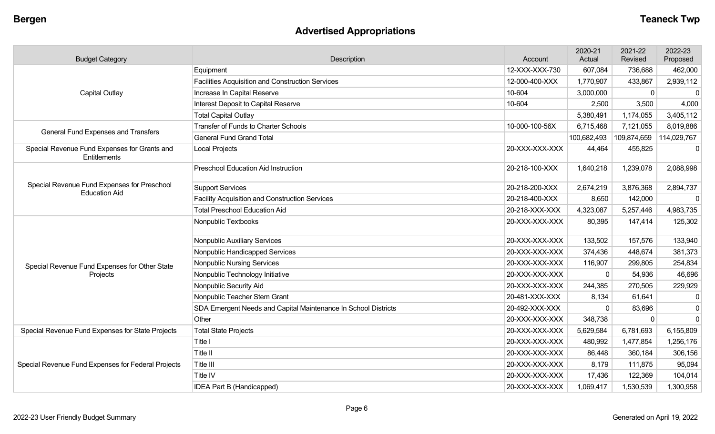# **Advertised Appropriations**

| <b>Budget Category</b>                                       | Description                                                    | Account        | 2020-21<br>Actual | 2021-22<br>Revised | 2022-23<br>Proposed |
|--------------------------------------------------------------|----------------------------------------------------------------|----------------|-------------------|--------------------|---------------------|
|                                                              | Equipment                                                      | 12-XXX-XXX-730 | 607,084           | 736,688            | 462,000             |
|                                                              | Facilities Acquisition and Construction Services               | 12-000-400-XXX | 1,770,907         | 433,867            | 2,939,112           |
| Capital Outlay                                               | Increase In Capital Reserve                                    | 10-604         | 3,000,000         | $\mathbf 0$        | $\mathbf 0$         |
|                                                              | Interest Deposit to Capital Reserve                            | 10-604         | 2,500             | 3,500              | 4,000               |
|                                                              | <b>Total Capital Outlay</b>                                    |                | 5,380,491         | 1,174,055          | 3,405,112           |
| <b>General Fund Expenses and Transfers</b>                   | <b>Transfer of Funds to Charter Schools</b>                    | 10-000-100-56X | 6,715,468         | 7,121,055          | 8,019,886           |
|                                                              | <b>General Fund Grand Total</b>                                |                | 100,682,493       | 109,874,659        | 114,029,767         |
| Special Revenue Fund Expenses for Grants and<br>Entitlements | <b>Local Projects</b>                                          | 20-XXX-XXX-XXX | 44,464            | 455,825            | $\mathbf 0$         |
|                                                              | <b>Preschool Education Aid Instruction</b>                     | 20-218-100-XXX | 1,640,218         | 1,239,078          | 2,088,998           |
| Special Revenue Fund Expenses for Preschool                  | <b>Support Services</b>                                        | 20-218-200-XXX | 2,674,219         | 3,876,368          | 2,894,737           |
| <b>Education Aid</b>                                         | <b>Facility Acquisition and Construction Services</b>          | 20-218-400-XXX | 8,650             | 142,000            | $\Omega$            |
|                                                              | <b>Total Preschool Education Aid</b>                           | 20-218-XXX-XXX | 4,323,087         | 5,257,446          | 4,983,735           |
|                                                              | Nonpublic Textbooks                                            | 20-XXX-XXX-XXX | 80,395            | 147,414            | 125,302             |
|                                                              | Nonpublic Auxiliary Services                                   | 20-XXX-XXX-XXX | 133,502           | 157,576            | 133,940             |
|                                                              | Nonpublic Handicapped Services                                 | 20-XXX-XXX-XXX | 374,436           | 448,674            | 381,373             |
| Special Revenue Fund Expenses for Other State                | <b>Nonpublic Nursing Services</b>                              | 20-XXX-XXX-XXX | 116,907           | 299,805            | 254,834             |
| Projects                                                     | Nonpublic Technology Initiative                                | 20-XXX-XXX-XXX | $\mathbf 0$       | 54,936             | 46,696              |
|                                                              | Nonpublic Security Aid                                         | 20-XXX-XXX-XXX | 244,385           | 270,505            | 229,929             |
|                                                              | Nonpublic Teacher Stem Grant                                   | 20-481-XXX-XXX | 8,134             | 61,641             | $\mathbf 0$         |
|                                                              | SDA Emergent Needs and Capital Maintenance In School Districts | 20-492-XXX-XXX | $\Omega$          | 83,696             | $\mathbf 0$         |
|                                                              | Other                                                          | 20-XXX-XXX-XXX | 348,738           | $\Omega$           | $\mathbf{0}$        |
| Special Revenue Fund Expenses for State Projects             | <b>Total State Projects</b>                                    | 20-XXX-XXX-XXX | 5,629,584         | 6,781,693          | 6,155,809           |
|                                                              | Title I                                                        | 20-XXX-XXX-XXX | 480,992           | 1,477,854          | 1,256,176           |
|                                                              | Title II                                                       | 20-XXX-XXX-XXX | 86,448            | 360,184            | 306,156             |
| Special Revenue Fund Expenses for Federal Projects           | Title III                                                      | 20-XXX-XXX-XXX | 8,179             | 111,875            | 95,094              |
|                                                              | Title IV                                                       | 20-XXX-XXX-XXX | 17,436            | 122,369            | 104,014             |
|                                                              | IDEA Part B (Handicapped)                                      | 20-XXX-XXX-XXX | 1,069,417         | 1,530,539          | 1,300,958           |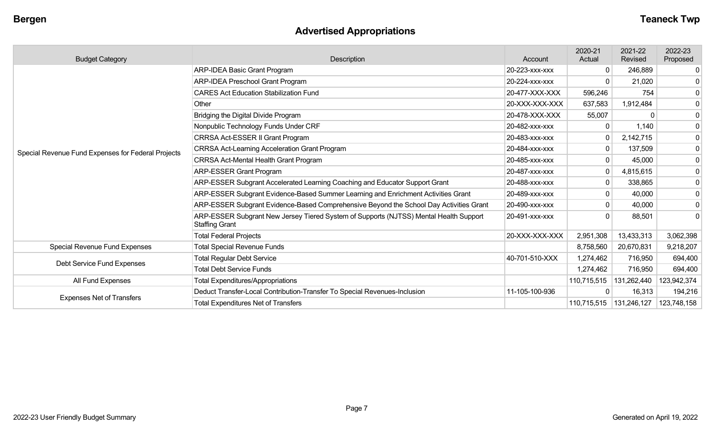# **Advertised Appropriations**

| <b>Budget Category</b>                             | Description                                                                                                    | Account        | 2020-21<br>Actual | 2021-22<br>Revised | 2022-23<br>Proposed |
|----------------------------------------------------|----------------------------------------------------------------------------------------------------------------|----------------|-------------------|--------------------|---------------------|
|                                                    | ARP-IDEA Basic Grant Program                                                                                   | 20-223-xxx-xxx | $\mathbf{0}$      | 246,889            | $\mathbf 0$         |
|                                                    | <b>ARP-IDEA Preschool Grant Program</b>                                                                        | 20-224-XXX-XXX | $\mathbf{0}$      | 21,020             | 0                   |
|                                                    | <b>CARES Act Education Stabilization Fund</b>                                                                  | 20-477-XXX-XXX | 596,246           | 754                | $\mathbf 0$         |
|                                                    | Other                                                                                                          | 20-XXX-XXX-XXX | 637,583           | 1,912,484          | $\mathbf 0$         |
|                                                    | Bridging the Digital Divide Program                                                                            | 20-478-XXX-XXX | 55,007            | $\Omega$           | $\mathbf 0$         |
|                                                    | Nonpublic Technology Funds Under CRF                                                                           | 20-482-xxx-xxx | $\Omega$          | 1,140              | $\mathbf 0$         |
|                                                    | CRRSA Act-ESSER II Grant Program                                                                               | 20-483-xxx-xxx | $\mathbf 0$       | 2,142,715          | $\mathbf 0$         |
| Special Revenue Fund Expenses for Federal Projects | <b>CRRSA Act-Learning Acceleration Grant Program</b>                                                           | 20-484-XXX-XXX | $\overline{0}$    | 137,509            | 0                   |
|                                                    | <b>CRRSA Act-Mental Health Grant Program</b>                                                                   | 20-485-XXX-XXX | $\overline{0}$    | 45,000             | 0                   |
|                                                    | <b>ARP-ESSER Grant Program</b>                                                                                 | 20-487-xxx-xxx | $\mathbf 0$       | 4,815,615          | $\mathbf 0$         |
|                                                    | ARP-ESSER Subgrant Accelerated Learning Coaching and Educator Support Grant                                    | 20-488-XXX-XXX | $\overline{0}$    | 338,865            | 0                   |
|                                                    | ARP-ESSER Subgrant Evidence-Based Summer Learning and Enrichment Activities Grant                              | 20-489-xxx-xxx | $\overline{0}$    | 40,000             | $\mathbf 0$         |
|                                                    | ARP-ESSER Subgrant Evidence-Based Comprehensive Beyond the School Day Activities Grant                         | 20-490-xxx-xxx | $\overline{0}$    | 40,000             | 0                   |
|                                                    | ARP-ESSER Subgrant New Jersey Tiered System of Supports (NJTSS) Mental Health Support<br><b>Staffing Grant</b> | 20-491-xxx-xxx | $\Omega$          | 88,501             | $\Omega$            |
|                                                    | <b>Total Federal Projects</b>                                                                                  | 20-XXX-XXX-XXX | 2,951,308         | 13,433,313         | 3,062,398           |
| Special Revenue Fund Expenses                      | <b>Total Special Revenue Funds</b>                                                                             |                | 8,758,560         | 20,670,831         | 9,218,207           |
|                                                    | <b>Total Regular Debt Service</b>                                                                              | 40-701-510-XXX | 1,274,462         | 716,950            | 694,400             |
| Debt Service Fund Expenses                         | <b>Total Debt Service Funds</b>                                                                                |                | 1,274,462         | 716,950            | 694,400             |
| All Fund Expenses                                  | <b>Total Expenditures/Appropriations</b>                                                                       |                | 110,715,515       | 131,262,440        | 123,942,374         |
|                                                    | Deduct Transfer-Local Contribution-Transfer To Special Revenues-Inclusion                                      | 11-105-100-936 | 0                 | 16,313             | 194,216             |
| <b>Expenses Net of Transfers</b>                   | <b>Total Expenditures Net of Transfers</b>                                                                     |                | 110,715,515       | 131,246,127        | 123,748,158         |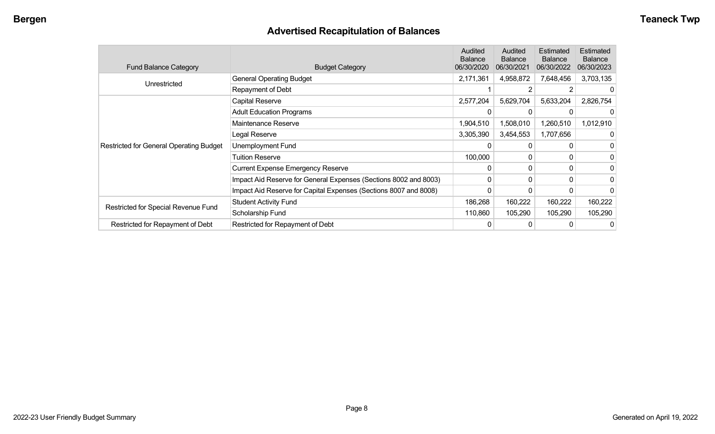# **Advertised Recapitulation of Balances**

| <b>Fund Balance Category</b>                   | <b>Budget Category</b>                                           | Audited<br><b>Balance</b><br>06/30/2020 | Audited<br><b>Balance</b><br>06/30/2021 | Estimated<br>Balance<br>06/30/2022 | Estimated<br><b>Balance</b><br>06/30/2023 |
|------------------------------------------------|------------------------------------------------------------------|-----------------------------------------|-----------------------------------------|------------------------------------|-------------------------------------------|
| Unrestricted                                   | <b>General Operating Budget</b>                                  | 2,171,361                               | 4,958,872                               | 7,648,456                          | 3,703,135                                 |
|                                                | Repayment of Debt                                                |                                         |                                         |                                    |                                           |
|                                                | Capital Reserve                                                  | 2,577,204                               | 5,629,704                               | 5,633,204                          | 2,826,754                                 |
|                                                | <b>Adult Education Programs</b>                                  |                                         |                                         |                                    |                                           |
|                                                | Maintenance Reserve                                              | 1,904,510                               | 1,508,010                               | 1,260,510                          | 1,012,910                                 |
|                                                | Legal Reserve                                                    | 3,305,390                               | 3,454,553                               | 1,707,656                          |                                           |
| <b>Restricted for General Operating Budget</b> | Unemployment Fund                                                |                                         | 0                                       |                                    |                                           |
|                                                | <b>Tuition Reserve</b>                                           | 100,000                                 | 0                                       | 0                                  |                                           |
|                                                | <b>Current Expense Emergency Reserve</b>                         | $\Omega$                                | $\mathbf{0}$                            | 0                                  |                                           |
|                                                | Impact Aid Reserve for General Expenses (Sections 8002 and 8003) | 0                                       | 0                                       | 0                                  | 0                                         |
|                                                | Impact Aid Reserve for Capital Expenses (Sections 8007 and 8008) | 0                                       | 0                                       |                                    |                                           |
|                                                | <b>Student Activity Fund</b>                                     | 186,268                                 | 160,222                                 | 160,222                            | 160,222                                   |
| Restricted for Special Revenue Fund            | Scholarship Fund                                                 | 110,860                                 | 105,290                                 | 105,290                            | 105,290                                   |
| Restricted for Repayment of Debt               | Restricted for Repayment of Debt                                 |                                         |                                         |                                    |                                           |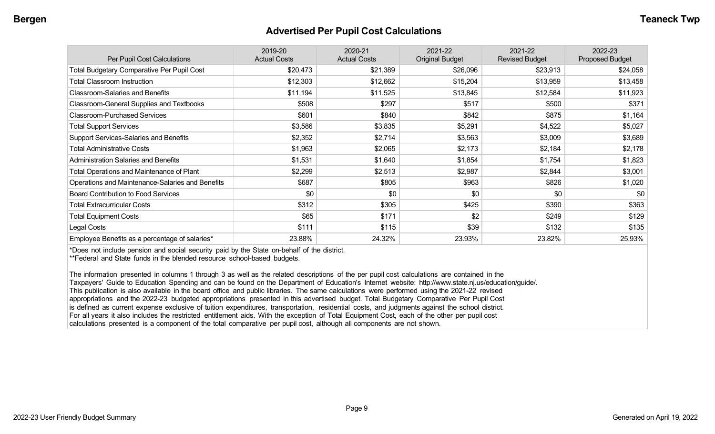#### **Advertised Per Pupil Cost Calculations**

| Per Pupil Cost Calculations                       | 2019-20<br><b>Actual Costs</b> | 2020-21<br><b>Actual Costs</b> | 2021-22<br><b>Original Budget</b> | 2021-22<br><b>Revised Budget</b> | 2022-23<br><b>Proposed Budget</b> |
|---------------------------------------------------|--------------------------------|--------------------------------|-----------------------------------|----------------------------------|-----------------------------------|
| <b>Total Budgetary Comparative Per Pupil Cost</b> | \$20,473                       | \$21,389                       | \$26,096                          | \$23,913                         | \$24,058                          |
| <b>Total Classroom Instruction</b>                | \$12,303                       | \$12,662                       | \$15,204                          | \$13,959                         | \$13,458                          |
| <b>Classroom-Salaries and Benefits</b>            | \$11,194                       | \$11,525                       | \$13,845                          | \$12,584                         | \$11,923                          |
| Classroom-General Supplies and Textbooks          | \$508                          | \$297                          | \$517                             | \$500                            | \$371                             |
| <b>Classroom-Purchased Services</b>               | \$601                          | \$840                          | \$842                             | \$875                            | \$1,164                           |
| <b>Total Support Services</b>                     | \$3,586                        | \$3,835                        | \$5,291                           | \$4,522                          | \$5,027                           |
| Support Services-Salaries and Benefits            | \$2,352                        | \$2,714                        | \$3,563                           | \$3,009                          | \$3,689                           |
| <b>Total Administrative Costs</b>                 | \$1,963                        | \$2,065                        | \$2,173                           | \$2,184                          | \$2,178                           |
| <b>Administration Salaries and Benefits</b>       | \$1,531                        | \$1,640                        | \$1,854                           | \$1,754                          | \$1,823                           |
| <b>Total Operations and Maintenance of Plant</b>  | \$2,299                        | \$2,513                        | \$2,987                           | \$2,844                          | \$3,001                           |
| Operations and Maintenance-Salaries and Benefits  | \$687                          | \$805                          | \$963                             | \$826                            | \$1,020                           |
| <b>Board Contribution to Food Services</b>        | \$0                            | \$0                            | \$0                               | \$0                              | \$0                               |
| <b>Total Extracurricular Costs</b>                | \$312                          | \$305                          | \$425                             | \$390                            | \$363                             |
| <b>Total Equipment Costs</b>                      | \$65                           | \$171                          | \$2                               | \$249                            | \$129                             |
| Legal Costs                                       | \$111                          | \$115                          | \$39                              | \$132                            | \$135                             |
| Employee Benefits as a percentage of salaries*    | 23.88%                         | 24.32%                         | 23.93%                            | 23.82%                           | 25.93%                            |

\*Does not include pension and social security paid by the State on-behalf of the district.

\*\*Federal and State funds in the blended resource school-based budgets.

The information presented in columns 1 through 3 as well as the related descriptions of the per pupil cost calculations are contained in the Taxpayers' Guide to Education Spending and can be found on the Department of Education's Internet website: http://www.state.nj.us/education/guide/. This publication is also available in the board office and public libraries. The same calculations were performed using the 2021-22 revised appropriations and the 2022-23 budgeted appropriations presented in this advertised budget. Total Budgetary Comparative Per Pupil Cost is defined as current expense exclusive of tuition expenditures, transportation, residential costs, and judgments against the school district. For all years it also includes the restricted entitlement aids. With the exception of Total Equipment Cost, each of the other per pupil cost calculations presented is a component of the total comparative per pupil cost, although all components are not shown.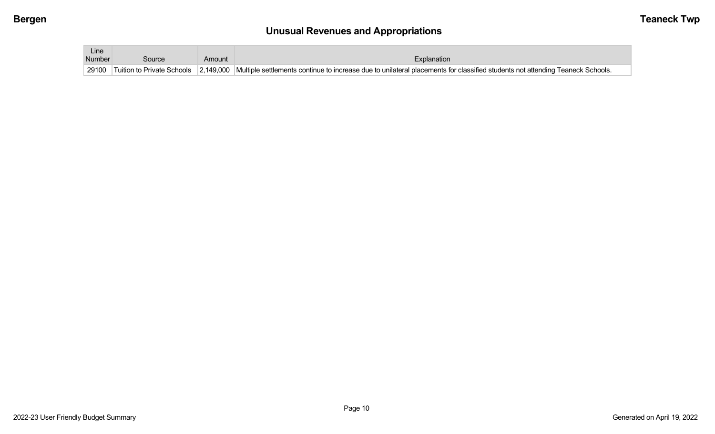# **Unusual Revenues and Appropriations**

| Line<br>Number |        |        |                                                                                                                                                                          |
|----------------|--------|--------|--------------------------------------------------------------------------------------------------------------------------------------------------------------------------|
|                | Source | Amount | Explanation                                                                                                                                                              |
|                |        |        | 29100 Tuition to Private Schools 2,149,000 Multiple settlements continue to increase due to unilateral placements for classified students not attending Teaneck Schools. |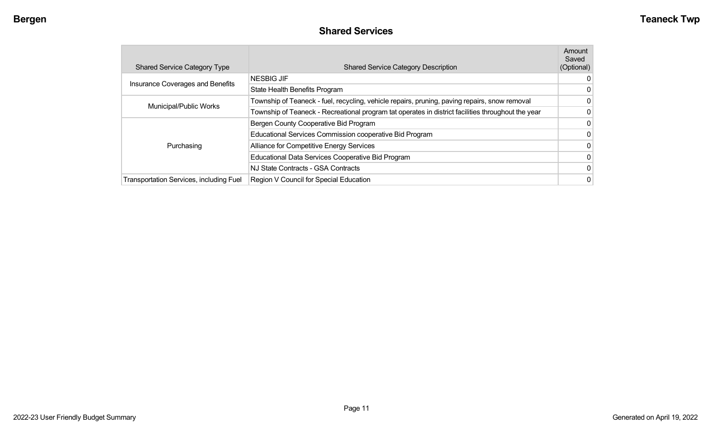#### **Shared Services**

| <b>Shared Service Category Type</b>            | <b>Shared Service Category Description</b>                                                         | Amount<br>Saved<br>(Optional) |
|------------------------------------------------|----------------------------------------------------------------------------------------------------|-------------------------------|
|                                                | <b>NESBIG JIF</b>                                                                                  | 0                             |
| Insurance Coverages and Benefits               | State Health Benefits Program                                                                      | 0                             |
| Municipal/Public Works                         | Township of Teaneck - fuel, recycling, vehicle repairs, pruning, paving repairs, snow removal      | 0                             |
|                                                | Township of Teaneck - Recreational program tat operates in district facilities throughout the year | 0                             |
|                                                | Bergen County Cooperative Bid Program                                                              | 0                             |
|                                                | Educational Services Commission cooperative Bid Program                                            | 0                             |
| Purchasing                                     | Alliance for Competitive Energy Services                                                           | 0                             |
|                                                | Educational Data Services Cooperative Bid Program                                                  | 0                             |
|                                                | NJ State Contracts - GSA Contracts                                                                 | 0                             |
| <b>Transportation Services, including Fuel</b> | Region V Council for Special Education                                                             | 0                             |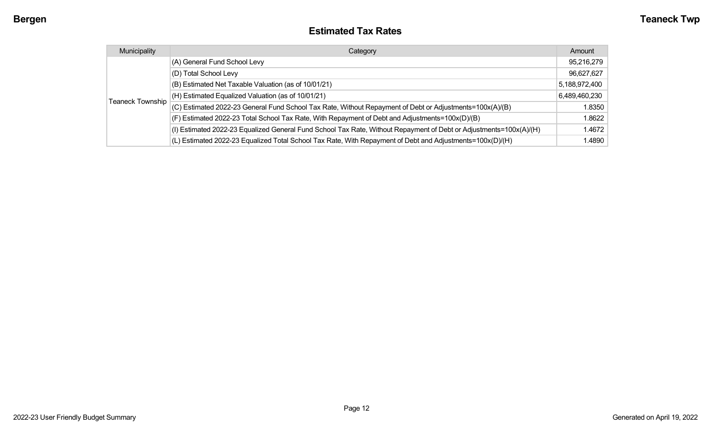#### **Estimated Tax Rates**

| Municipality            | Category                                                                                                           | Amount        |
|-------------------------|--------------------------------------------------------------------------------------------------------------------|---------------|
|                         | (A) General Fund School Levy                                                                                       | 95,216,279    |
|                         | (D) Total School Levy                                                                                              | 96,627,627    |
|                         | (B) Estimated Net Taxable Valuation (as of 10/01/21)                                                               | 5,188,972,400 |
|                         | (H) Estimated Equalized Valuation (as of 10/01/21)                                                                 | 6,489,460,230 |
| <b>Teaneck Township</b> | (C) Estimated 2022-23 General Fund School Tax Rate, Without Repayment of Debt or Adjustments=100x(A)/(B)           | 1.8350        |
|                         | (F) Estimated 2022-23 Total School Tax Rate, With Repayment of Debt and Adjustments=100x(D)/(B)                    | 1.8622        |
|                         | (I) Estimated 2022-23 Equalized General Fund School Tax Rate, Without Repayment of Debt or Adjustments=100x(A)/(H) | 1.4672        |
|                         | (L) Estimated 2022-23 Equalized Total School Tax Rate, With Repayment of Debt and Adjustments=100x(D)/(H)          | 1.4890        |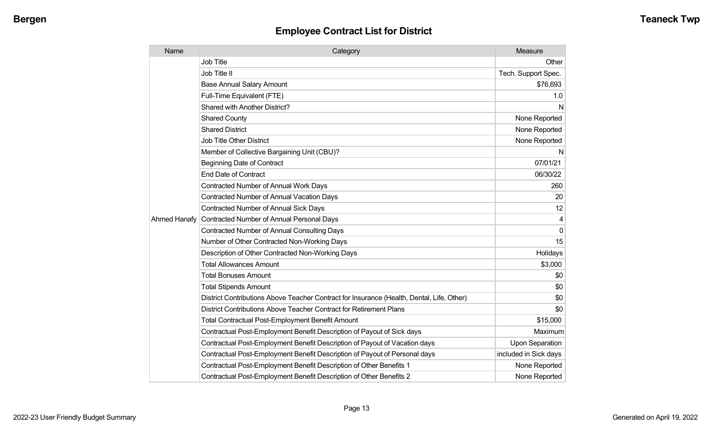| Name         | Category                                                                                  | Measure                |
|--------------|-------------------------------------------------------------------------------------------|------------------------|
|              | <b>Job Title</b>                                                                          | Other                  |
|              | Job Title II                                                                              | Tech. Support Spec.    |
|              | <b>Base Annual Salary Amount</b>                                                          | \$76,693               |
|              | Full-Time Equivalent (FTE)                                                                | 1.0                    |
|              | Shared with Another District?                                                             | N                      |
|              | <b>Shared County</b>                                                                      | None Reported          |
|              | <b>Shared District</b>                                                                    | None Reported          |
|              | <b>Job Title Other District</b>                                                           | None Reported          |
|              | Member of Collective Bargaining Unit (CBU)?                                               | N                      |
|              | <b>Beginning Date of Contract</b>                                                         | 07/01/21               |
|              | <b>End Date of Contract</b>                                                               | 06/30/22               |
|              | <b>Contracted Number of Annual Work Days</b>                                              | 260                    |
|              | <b>Contracted Number of Annual Vacation Days</b>                                          | 20                     |
|              | <b>Contracted Number of Annual Sick Days</b>                                              | 12                     |
| Ahmed Hanafy | Contracted Number of Annual Personal Days                                                 | 4                      |
|              | Contracted Number of Annual Consulting Days                                               | $\Omega$               |
|              | Number of Other Contracted Non-Working Days                                               | 15                     |
|              | Description of Other Contracted Non-Working Days                                          | Holidays               |
|              | <b>Total Allowances Amount</b>                                                            | \$3,000                |
|              | <b>Total Bonuses Amount</b>                                                               | \$0                    |
|              | <b>Total Stipends Amount</b>                                                              | \$0                    |
|              | District Contributions Above Teacher Contract for Insurance (Health, Dental, Life, Other) | \$0                    |
|              | District Contributions Above Teacher Contract for Retirement Plans                        | \$0                    |
|              | <b>Total Contractual Post-Employment Benefit Amount</b>                                   | \$15,000               |
|              | Contractual Post-Employment Benefit Description of Payout of Sick days                    | Maximum                |
|              | Contractual Post-Employment Benefit Description of Payout of Vacation days                | <b>Upon Separation</b> |
|              | Contractual Post-Employment Benefit Description of Payout of Personal days                | included in Sick days  |
|              | Contractual Post-Employment Benefit Description of Other Benefits 1                       | None Reported          |
|              | Contractual Post-Employment Benefit Description of Other Benefits 2                       | None Reported          |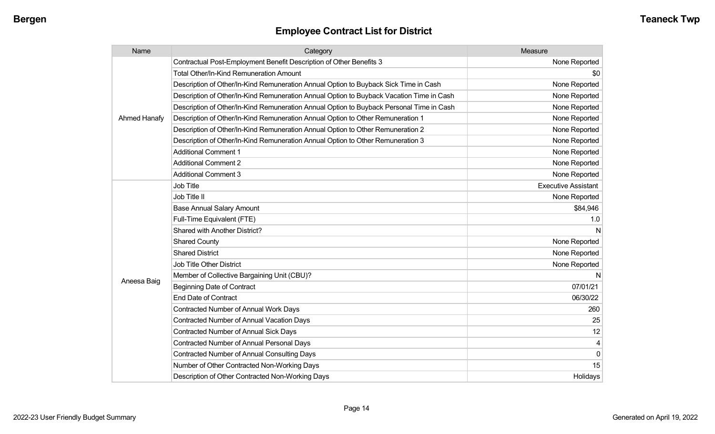| Name         | Category                                                                                 | Measure                    |
|--------------|------------------------------------------------------------------------------------------|----------------------------|
|              | Contractual Post-Employment Benefit Description of Other Benefits 3                      | None Reported              |
|              | <b>Total Other/In-Kind Remuneration Amount</b>                                           | \$0                        |
|              | Description of Other/In-Kind Remuneration Annual Option to Buyback Sick Time in Cash     | None Reported              |
|              | Description of Other/In-Kind Remuneration Annual Option to Buyback Vacation Time in Cash | None Reported              |
|              | Description of Other/In-Kind Remuneration Annual Option to Buyback Personal Time in Cash | None Reported              |
| Ahmed Hanafy | Description of Other/In-Kind Remuneration Annual Option to Other Remuneration 1          | None Reported              |
|              | Description of Other/In-Kind Remuneration Annual Option to Other Remuneration 2          | None Reported              |
|              | Description of Other/In-Kind Remuneration Annual Option to Other Remuneration 3          | None Reported              |
|              | <b>Additional Comment 1</b>                                                              | None Reported              |
|              | <b>Additional Comment 2</b>                                                              | None Reported              |
|              | <b>Additional Comment 3</b>                                                              | None Reported              |
|              | Job Title                                                                                | <b>Executive Assistant</b> |
|              | Job Title II                                                                             | None Reported              |
|              | <b>Base Annual Salary Amount</b>                                                         | \$84,946                   |
|              | Full-Time Equivalent (FTE)                                                               | 1.0                        |
|              | Shared with Another District?                                                            | N                          |
|              | <b>Shared County</b>                                                                     | None Reported              |
|              | <b>Shared District</b>                                                                   | None Reported              |
|              | <b>Job Title Other District</b>                                                          | None Reported              |
|              | Member of Collective Bargaining Unit (CBU)?                                              | N                          |
| Aneesa Baig  | <b>Beginning Date of Contract</b>                                                        | 07/01/21                   |
|              | <b>End Date of Contract</b>                                                              | 06/30/22                   |
|              | <b>Contracted Number of Annual Work Days</b>                                             | 260                        |
|              | Contracted Number of Annual Vacation Days                                                | 25                         |
|              | <b>Contracted Number of Annual Sick Days</b>                                             | 12                         |
|              | Contracted Number of Annual Personal Days                                                | 4                          |
|              | <b>Contracted Number of Annual Consulting Days</b>                                       | $\mathbf 0$                |
|              | Number of Other Contracted Non-Working Days                                              | 15                         |
|              | Description of Other Contracted Non-Working Days                                         | Holidays                   |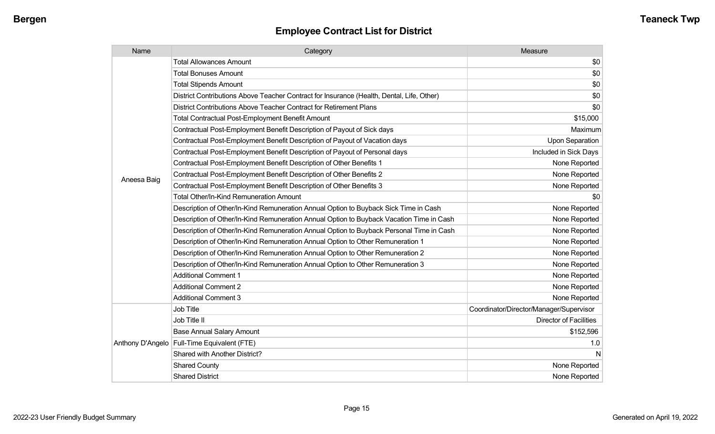| Name        | Category                                                                                  | Measure                                 |
|-------------|-------------------------------------------------------------------------------------------|-----------------------------------------|
|             | <b>Total Allowances Amount</b>                                                            | \$0                                     |
|             | <b>Total Bonuses Amount</b>                                                               | \$0                                     |
|             | <b>Total Stipends Amount</b>                                                              | \$0                                     |
|             | District Contributions Above Teacher Contract for Insurance (Health, Dental, Life, Other) | \$0                                     |
|             | District Contributions Above Teacher Contract for Retirement Plans                        | \$0                                     |
|             | <b>Total Contractual Post-Employment Benefit Amount</b>                                   | \$15,000                                |
|             | Contractual Post-Employment Benefit Description of Payout of Sick days                    | Maximum                                 |
|             | Contractual Post-Employment Benefit Description of Payout of Vacation days                | <b>Upon Separation</b>                  |
|             | Contractual Post-Employment Benefit Description of Payout of Personal days                | Included in Sick Days                   |
|             | Contractual Post-Employment Benefit Description of Other Benefits 1                       | None Reported                           |
|             | Contractual Post-Employment Benefit Description of Other Benefits 2                       | None Reported                           |
| Aneesa Baig | Contractual Post-Employment Benefit Description of Other Benefits 3                       | None Reported                           |
|             | <b>Total Other/In-Kind Remuneration Amount</b>                                            | \$0                                     |
|             | Description of Other/In-Kind Remuneration Annual Option to Buyback Sick Time in Cash      | None Reported                           |
|             | Description of Other/In-Kind Remuneration Annual Option to Buyback Vacation Time in Cash  | None Reported                           |
|             | Description of Other/In-Kind Remuneration Annual Option to Buyback Personal Time in Cash  | None Reported                           |
|             | Description of Other/In-Kind Remuneration Annual Option to Other Remuneration 1           | None Reported                           |
|             | Description of Other/In-Kind Remuneration Annual Option to Other Remuneration 2           | None Reported                           |
|             | Description of Other/In-Kind Remuneration Annual Option to Other Remuneration 3           | None Reported                           |
|             | <b>Additional Comment 1</b>                                                               | None Reported                           |
|             | <b>Additional Comment 2</b>                                                               | None Reported                           |
|             | <b>Additional Comment 3</b>                                                               | None Reported                           |
|             | <b>Job Title</b>                                                                          | Coordinator/Director/Manager/Supervisor |
|             | Job Title II                                                                              | <b>Director of Facilities</b>           |
|             | <b>Base Annual Salary Amount</b>                                                          | \$152,596                               |
|             | Anthony D'Angelo   Full-Time Equivalent (FTE)                                             | 1.0                                     |
|             | Shared with Another District?                                                             | N                                       |
|             | <b>Shared County</b>                                                                      | None Reported                           |
|             | <b>Shared District</b>                                                                    | None Reported                           |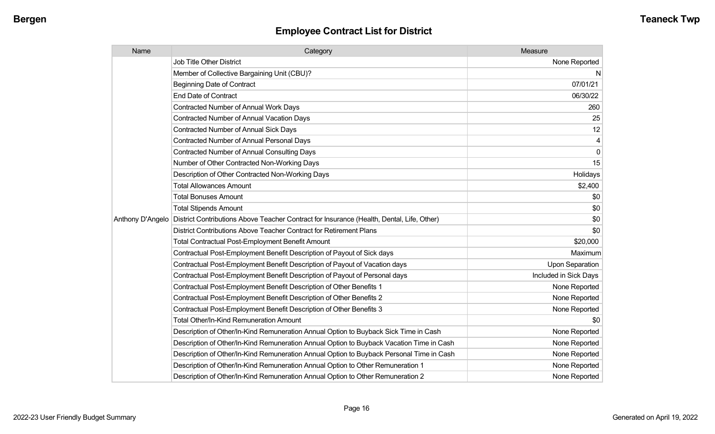| Name             | Category                                                                                  | Measure               |
|------------------|-------------------------------------------------------------------------------------------|-----------------------|
|                  | <b>Job Title Other District</b>                                                           | None Reported         |
|                  | Member of Collective Bargaining Unit (CBU)?                                               | N                     |
|                  | <b>Beginning Date of Contract</b>                                                         | 07/01/21              |
|                  | <b>End Date of Contract</b>                                                               | 06/30/22              |
|                  | <b>Contracted Number of Annual Work Days</b>                                              | 260                   |
|                  | <b>Contracted Number of Annual Vacation Days</b>                                          | 25                    |
|                  | Contracted Number of Annual Sick Days                                                     | 12                    |
|                  | Contracted Number of Annual Personal Days                                                 | 4                     |
|                  | <b>Contracted Number of Annual Consulting Days</b>                                        | 0                     |
|                  | Number of Other Contracted Non-Working Days                                               | 15                    |
|                  | Description of Other Contracted Non-Working Days                                          | Holidays              |
|                  | <b>Total Allowances Amount</b>                                                            | \$2,400               |
|                  | <b>Total Bonuses Amount</b>                                                               | \$0                   |
|                  | <b>Total Stipends Amount</b>                                                              | \$0                   |
| Anthony D'Angelo | District Contributions Above Teacher Contract for Insurance (Health, Dental, Life, Other) | \$0                   |
|                  | District Contributions Above Teacher Contract for Retirement Plans                        | \$0                   |
|                  | <b>Total Contractual Post-Employment Benefit Amount</b>                                   | \$20,000              |
|                  | Contractual Post-Employment Benefit Description of Payout of Sick days                    | Maximum               |
|                  | Contractual Post-Employment Benefit Description of Payout of Vacation days                | Upon Separation       |
|                  | Contractual Post-Employment Benefit Description of Payout of Personal days                | Included in Sick Days |
|                  | Contractual Post-Employment Benefit Description of Other Benefits 1                       | None Reported         |
|                  | Contractual Post-Employment Benefit Description of Other Benefits 2                       | None Reported         |
|                  | Contractual Post-Employment Benefit Description of Other Benefits 3                       | None Reported         |
|                  | Total Other/In-Kind Remuneration Amount                                                   | \$0                   |
|                  | Description of Other/In-Kind Remuneration Annual Option to Buyback Sick Time in Cash      | None Reported         |
|                  | Description of Other/In-Kind Remuneration Annual Option to Buyback Vacation Time in Cash  | None Reported         |
|                  | Description of Other/In-Kind Remuneration Annual Option to Buyback Personal Time in Cash  | None Reported         |
|                  | Description of Other/In-Kind Remuneration Annual Option to Other Remuneration 1           | None Reported         |
|                  | Description of Other/In-Kind Remuneration Annual Option to Other Remuneration 2           | None Reported         |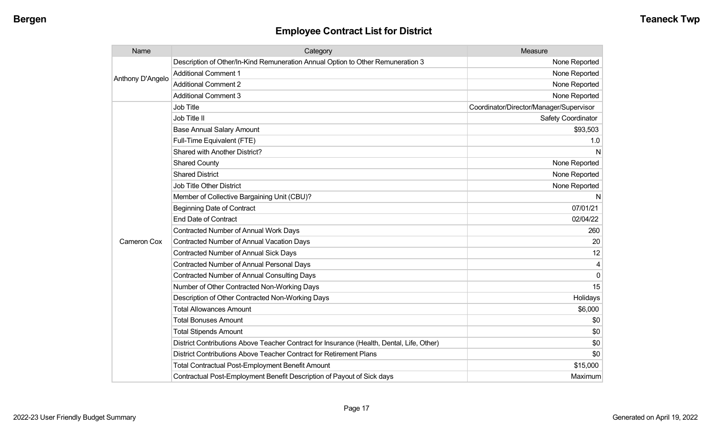| Name             | Category                                                                                  | Measure                                 |
|------------------|-------------------------------------------------------------------------------------------|-----------------------------------------|
| Anthony D'Angelo | Description of Other/In-Kind Remuneration Annual Option to Other Remuneration 3           | None Reported                           |
|                  | <b>Additional Comment 1</b>                                                               | None Reported                           |
|                  | <b>Additional Comment 2</b>                                                               | None Reported                           |
|                  | <b>Additional Comment 3</b>                                                               | None Reported                           |
|                  | <b>Job Title</b>                                                                          | Coordinator/Director/Manager/Supervisor |
|                  | Job Title II                                                                              | Safety Coordinator                      |
|                  | <b>Base Annual Salary Amount</b>                                                          | \$93,503                                |
|                  | Full-Time Equivalent (FTE)                                                                | 1.0                                     |
|                  | Shared with Another District?                                                             | N                                       |
|                  | <b>Shared County</b>                                                                      | None Reported                           |
|                  | <b>Shared District</b>                                                                    | None Reported                           |
|                  | <b>Job Title Other District</b>                                                           | None Reported                           |
|                  | Member of Collective Bargaining Unit (CBU)?                                               | N                                       |
|                  | <b>Beginning Date of Contract</b>                                                         | 07/01/21                                |
|                  | <b>End Date of Contract</b>                                                               | 02/04/22                                |
|                  | <b>Contracted Number of Annual Work Days</b>                                              | 260                                     |
| Cameron Cox      | <b>Contracted Number of Annual Vacation Days</b>                                          | 20                                      |
|                  | <b>Contracted Number of Annual Sick Days</b>                                              | 12                                      |
|                  | Contracted Number of Annual Personal Days                                                 | 4                                       |
|                  | <b>Contracted Number of Annual Consulting Days</b>                                        | $\mathbf 0$                             |
|                  | Number of Other Contracted Non-Working Days                                               | 15                                      |
|                  | Description of Other Contracted Non-Working Days                                          | Holidays                                |
|                  | <b>Total Allowances Amount</b>                                                            | \$6,000                                 |
|                  | <b>Total Bonuses Amount</b>                                                               | \$0                                     |
|                  | <b>Total Stipends Amount</b>                                                              | \$0                                     |
|                  | District Contributions Above Teacher Contract for Insurance (Health, Dental, Life, Other) | \$0                                     |
|                  | District Contributions Above Teacher Contract for Retirement Plans                        | \$0                                     |
|                  | <b>Total Contractual Post-Employment Benefit Amount</b>                                   | \$15,000                                |
|                  | Contractual Post-Employment Benefit Description of Payout of Sick days                    | Maximum                                 |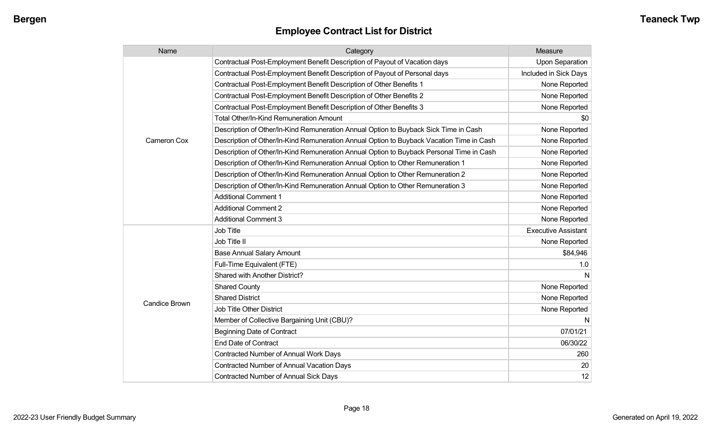| Name                 | Category                                                                                 | Measure                    |
|----------------------|------------------------------------------------------------------------------------------|----------------------------|
|                      | Contractual Post-Employment Benefit Description of Payout of Vacation days               | <b>Upon Separation</b>     |
|                      | Contractual Post-Employment Benefit Description of Payout of Personal days               | Included in Sick Days      |
|                      | Contractual Post-Employment Benefit Description of Other Benefits 1                      | None Reported              |
|                      | Contractual Post-Employment Benefit Description of Other Benefits 2                      | None Reported              |
|                      | Contractual Post-Employment Benefit Description of Other Benefits 3                      | None Reported              |
|                      | Total Other/In-Kind Remuneration Amount                                                  | \$0                        |
|                      | Description of Other/In-Kind Remuneration Annual Option to Buyback Sick Time in Cash     | None Reported              |
| Cameron Cox          | Description of Other/In-Kind Remuneration Annual Option to Buyback Vacation Time in Cash | None Reported              |
|                      | Description of Other/In-Kind Remuneration Annual Option to Buyback Personal Time in Cash | None Reported              |
|                      | Description of Other/In-Kind Remuneration Annual Option to Other Remuneration 1          | None Reported              |
|                      | Description of Other/In-Kind Remuneration Annual Option to Other Remuneration 2          | None Reported              |
|                      | Description of Other/In-Kind Remuneration Annual Option to Other Remuneration 3          | None Reported              |
|                      | <b>Additional Comment 1</b>                                                              | None Reported              |
|                      | <b>Additional Comment 2</b>                                                              | None Reported              |
|                      | <b>Additional Comment 3</b>                                                              | None Reported              |
|                      | <b>Job Title</b>                                                                         | <b>Executive Assistant</b> |
|                      | Job Title II                                                                             | None Reported              |
|                      | <b>Base Annual Salary Amount</b>                                                         | \$84,946                   |
|                      | Full-Time Equivalent (FTE)                                                               | 1.0                        |
|                      | Shared with Another District?                                                            | N                          |
|                      | <b>Shared County</b>                                                                     | None Reported              |
|                      | <b>Shared District</b>                                                                   | None Reported              |
| <b>Candice Brown</b> | <b>Job Title Other District</b>                                                          | None Reported              |
|                      | Member of Collective Bargaining Unit (CBU)?                                              | N                          |
|                      | <b>Beginning Date of Contract</b>                                                        | 07/01/21                   |
|                      | <b>End Date of Contract</b>                                                              | 06/30/22                   |
|                      | Contracted Number of Annual Work Days                                                    | 260                        |
|                      | <b>Contracted Number of Annual Vacation Days</b>                                         | 20                         |
|                      | Contracted Number of Annual Sick Days                                                    | 12                         |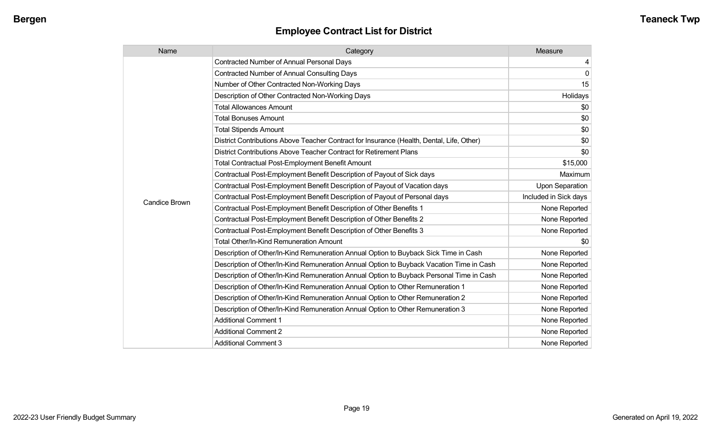| Name                 | Category                                                                                  | Measure               |
|----------------------|-------------------------------------------------------------------------------------------|-----------------------|
|                      | <b>Contracted Number of Annual Personal Days</b>                                          | 4                     |
|                      | <b>Contracted Number of Annual Consulting Days</b>                                        | 0                     |
|                      | Number of Other Contracted Non-Working Days                                               | 15                    |
|                      | Description of Other Contracted Non-Working Days                                          | Holidays              |
|                      | <b>Total Allowances Amount</b>                                                            | \$0                   |
|                      | <b>Total Bonuses Amount</b>                                                               | \$0                   |
|                      | <b>Total Stipends Amount</b>                                                              | \$0                   |
|                      | District Contributions Above Teacher Contract for Insurance (Health, Dental, Life, Other) | \$0                   |
|                      | District Contributions Above Teacher Contract for Retirement Plans                        | \$0                   |
|                      | <b>Total Contractual Post-Employment Benefit Amount</b>                                   | \$15,000              |
|                      | Contractual Post-Employment Benefit Description of Payout of Sick days                    | Maximum               |
|                      | Contractual Post-Employment Benefit Description of Payout of Vacation days                | Upon Separation       |
| <b>Candice Brown</b> | Contractual Post-Employment Benefit Description of Payout of Personal days                | Included in Sick days |
|                      | Contractual Post-Employment Benefit Description of Other Benefits 1                       | None Reported         |
|                      | Contractual Post-Employment Benefit Description of Other Benefits 2                       | None Reported         |
|                      | Contractual Post-Employment Benefit Description of Other Benefits 3                       | None Reported         |
|                      | Total Other/In-Kind Remuneration Amount                                                   | \$0                   |
|                      | Description of Other/In-Kind Remuneration Annual Option to Buyback Sick Time in Cash      | None Reported         |
|                      | Description of Other/In-Kind Remuneration Annual Option to Buyback Vacation Time in Cash  | None Reported         |
|                      | Description of Other/In-Kind Remuneration Annual Option to Buyback Personal Time in Cash  | None Reported         |
|                      | Description of Other/In-Kind Remuneration Annual Option to Other Remuneration 1           | None Reported         |
|                      | Description of Other/In-Kind Remuneration Annual Option to Other Remuneration 2           | None Reported         |
|                      | Description of Other/In-Kind Remuneration Annual Option to Other Remuneration 3           | None Reported         |
|                      | <b>Additional Comment 1</b>                                                               | None Reported         |
|                      | <b>Additional Comment 2</b>                                                               | None Reported         |
|                      | <b>Additional Comment 3</b>                                                               | None Reported         |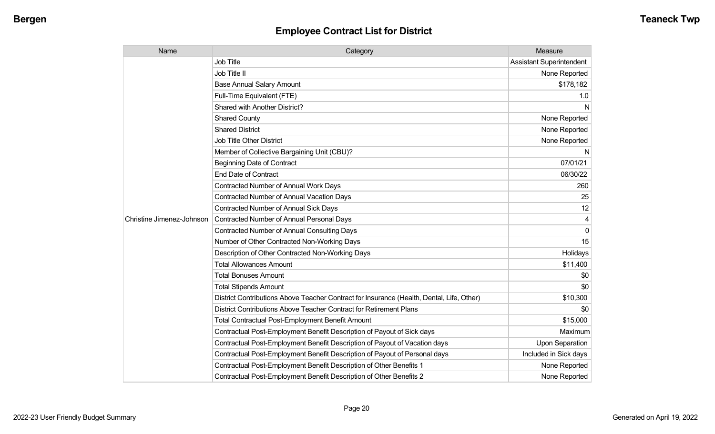| Name                      | Category                                                                                  | Measure                         |
|---------------------------|-------------------------------------------------------------------------------------------|---------------------------------|
|                           | <b>Job Title</b>                                                                          | <b>Assistant Superintendent</b> |
|                           | Job Title II                                                                              | None Reported                   |
|                           | <b>Base Annual Salary Amount</b>                                                          | \$178,182                       |
|                           | Full-Time Equivalent (FTE)                                                                | 1.0                             |
|                           | Shared with Another District?                                                             | N                               |
|                           | <b>Shared County</b>                                                                      | None Reported                   |
|                           | <b>Shared District</b>                                                                    | None Reported                   |
|                           | <b>Job Title Other District</b>                                                           | None Reported                   |
|                           | Member of Collective Bargaining Unit (CBU)?                                               | N                               |
|                           | <b>Beginning Date of Contract</b>                                                         | 07/01/21                        |
|                           | <b>End Date of Contract</b>                                                               | 06/30/22                        |
|                           | Contracted Number of Annual Work Days                                                     | 260                             |
|                           | <b>Contracted Number of Annual Vacation Days</b>                                          | 25                              |
|                           | Contracted Number of Annual Sick Days                                                     | 12                              |
| Christine Jimenez-Johnson | Contracted Number of Annual Personal Days                                                 |                                 |
|                           | <b>Contracted Number of Annual Consulting Days</b>                                        | $\Omega$                        |
|                           | Number of Other Contracted Non-Working Days                                               | 15                              |
|                           | Description of Other Contracted Non-Working Days                                          | Holidays                        |
|                           | <b>Total Allowances Amount</b>                                                            | \$11,400                        |
|                           | <b>Total Bonuses Amount</b>                                                               | \$0                             |
|                           | <b>Total Stipends Amount</b>                                                              | \$0                             |
|                           | District Contributions Above Teacher Contract for Insurance (Health, Dental, Life, Other) | \$10,300                        |
|                           | District Contributions Above Teacher Contract for Retirement Plans                        | \$0                             |
|                           | <b>Total Contractual Post-Employment Benefit Amount</b>                                   | \$15,000                        |
|                           | Contractual Post-Employment Benefit Description of Payout of Sick days                    | Maximum                         |
|                           | Contractual Post-Employment Benefit Description of Payout of Vacation days                | <b>Upon Separation</b>          |
|                           | Contractual Post-Employment Benefit Description of Payout of Personal days                | Included in Sick days           |
|                           | Contractual Post-Employment Benefit Description of Other Benefits 1                       | None Reported                   |
|                           | Contractual Post-Employment Benefit Description of Other Benefits 2                       | None Reported                   |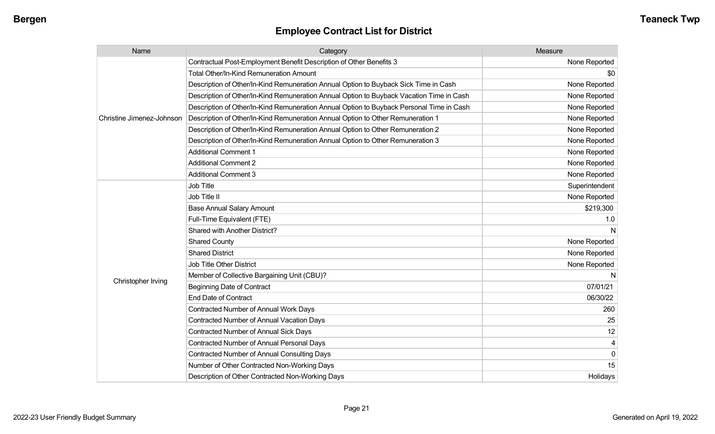| Name                      | Category                                                                                 | Measure        |
|---------------------------|------------------------------------------------------------------------------------------|----------------|
|                           | Contractual Post-Employment Benefit Description of Other Benefits 3                      | None Reported  |
|                           | Total Other/In-Kind Remuneration Amount                                                  | \$0            |
|                           | Description of Other/In-Kind Remuneration Annual Option to Buyback Sick Time in Cash     | None Reported  |
|                           | Description of Other/In-Kind Remuneration Annual Option to Buyback Vacation Time in Cash | None Reported  |
|                           | Description of Other/In-Kind Remuneration Annual Option to Buyback Personal Time in Cash | None Reported  |
| Christine Jimenez-Johnson | Description of Other/In-Kind Remuneration Annual Option to Other Remuneration 1          | None Reported  |
|                           | Description of Other/In-Kind Remuneration Annual Option to Other Remuneration 2          | None Reported  |
|                           | Description of Other/In-Kind Remuneration Annual Option to Other Remuneration 3          | None Reported  |
|                           | <b>Additional Comment 1</b>                                                              | None Reported  |
|                           | <b>Additional Comment 2</b>                                                              | None Reported  |
|                           | <b>Additional Comment 3</b>                                                              | None Reported  |
|                           | Job Title                                                                                | Superintendent |
|                           | Job Title II                                                                             | None Reported  |
|                           | <b>Base Annual Salary Amount</b>                                                         | \$219,300      |
|                           | Full-Time Equivalent (FTE)                                                               | 1.0            |
|                           | Shared with Another District?                                                            | N              |
|                           | <b>Shared County</b>                                                                     | None Reported  |
|                           | <b>Shared District</b>                                                                   | None Reported  |
|                           | Job Title Other District                                                                 | None Reported  |
|                           | Member of Collective Bargaining Unit (CBU)?                                              | N              |
| Christopher Irving        | <b>Beginning Date of Contract</b>                                                        | 07/01/21       |
|                           | <b>End Date of Contract</b>                                                              | 06/30/22       |
|                           | <b>Contracted Number of Annual Work Days</b>                                             | 260            |
|                           | <b>Contracted Number of Annual Vacation Days</b>                                         | 25             |
|                           | Contracted Number of Annual Sick Days                                                    | 12             |
|                           | Contracted Number of Annual Personal Days                                                |                |
|                           | <b>Contracted Number of Annual Consulting Days</b>                                       | $\Omega$       |
|                           | Number of Other Contracted Non-Working Days                                              | 15             |
|                           | Description of Other Contracted Non-Working Days                                         | Holidays       |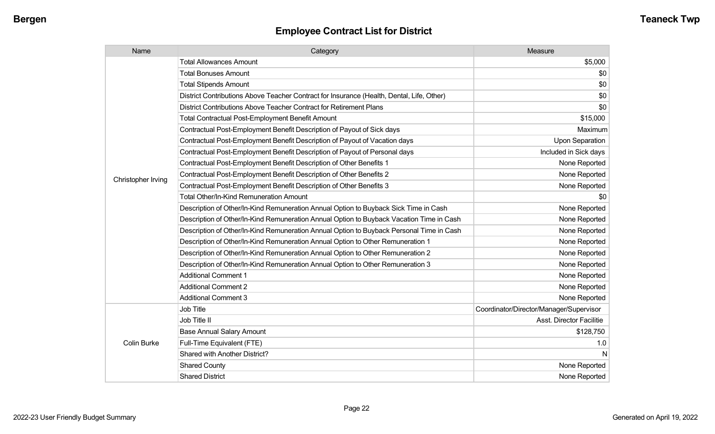| Name               | Category                                                                                  | Measure                                 |
|--------------------|-------------------------------------------------------------------------------------------|-----------------------------------------|
|                    | <b>Total Allowances Amount</b>                                                            | \$5,000                                 |
|                    | <b>Total Bonuses Amount</b>                                                               | \$0                                     |
|                    | <b>Total Stipends Amount</b>                                                              | \$0                                     |
|                    | District Contributions Above Teacher Contract for Insurance (Health, Dental, Life, Other) | \$0                                     |
|                    | District Contributions Above Teacher Contract for Retirement Plans                        | \$0                                     |
|                    | Total Contractual Post-Employment Benefit Amount                                          | \$15,000                                |
|                    | Contractual Post-Employment Benefit Description of Payout of Sick days                    | Maximum                                 |
|                    | Contractual Post-Employment Benefit Description of Payout of Vacation days                | Upon Separation                         |
|                    | Contractual Post-Employment Benefit Description of Payout of Personal days                | Included in Sick days                   |
|                    | Contractual Post-Employment Benefit Description of Other Benefits 1                       | None Reported                           |
|                    | Contractual Post-Employment Benefit Description of Other Benefits 2                       | None Reported                           |
| Christopher Irving | Contractual Post-Employment Benefit Description of Other Benefits 3                       | None Reported                           |
|                    | <b>Total Other/In-Kind Remuneration Amount</b>                                            | \$0                                     |
|                    | Description of Other/In-Kind Remuneration Annual Option to Buyback Sick Time in Cash      | None Reported                           |
|                    | Description of Other/In-Kind Remuneration Annual Option to Buyback Vacation Time in Cash  | None Reported                           |
|                    | Description of Other/In-Kind Remuneration Annual Option to Buyback Personal Time in Cash  | None Reported                           |
|                    | Description of Other/In-Kind Remuneration Annual Option to Other Remuneration 1           | None Reported                           |
|                    | Description of Other/In-Kind Remuneration Annual Option to Other Remuneration 2           | None Reported                           |
|                    | Description of Other/In-Kind Remuneration Annual Option to Other Remuneration 3           | None Reported                           |
|                    | <b>Additional Comment 1</b>                                                               | None Reported                           |
|                    | <b>Additional Comment 2</b>                                                               | None Reported                           |
|                    | <b>Additional Comment 3</b>                                                               | None Reported                           |
|                    | Job Title                                                                                 | Coordinator/Director/Manager/Supervisor |
|                    | Job Title II                                                                              | <b>Asst. Director Facilitie</b>         |
| <b>Colin Burke</b> | <b>Base Annual Salary Amount</b>                                                          | \$128,750                               |
|                    | Full-Time Equivalent (FTE)                                                                | 1.0                                     |
|                    | Shared with Another District?                                                             | N                                       |
|                    | <b>Shared County</b>                                                                      | None Reported                           |
|                    | <b>Shared District</b>                                                                    | None Reported                           |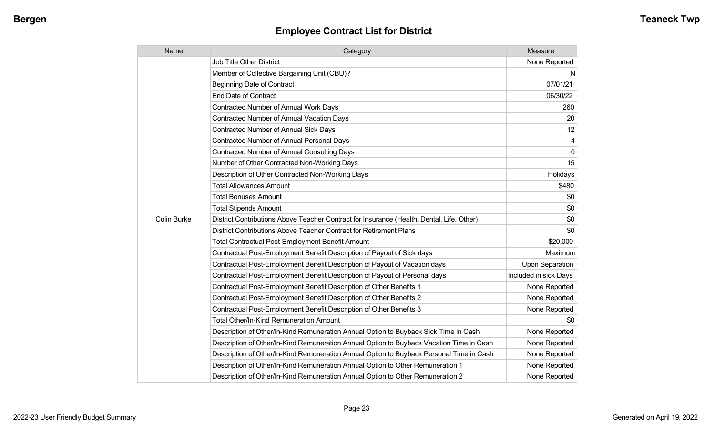| Name               | Category                                                                                  | Measure                |
|--------------------|-------------------------------------------------------------------------------------------|------------------------|
|                    | Job Title Other District                                                                  | None Reported          |
|                    | Member of Collective Bargaining Unit (CBU)?                                               | N                      |
|                    | <b>Beginning Date of Contract</b>                                                         | 07/01/21               |
|                    | <b>End Date of Contract</b>                                                               | 06/30/22               |
|                    | Contracted Number of Annual Work Days                                                     | 260                    |
|                    | <b>Contracted Number of Annual Vacation Days</b>                                          | 20                     |
|                    | Contracted Number of Annual Sick Days                                                     | 12                     |
|                    | Contracted Number of Annual Personal Days                                                 | 4                      |
|                    | <b>Contracted Number of Annual Consulting Days</b>                                        | $\Omega$               |
|                    | Number of Other Contracted Non-Working Days                                               | 15                     |
|                    | Description of Other Contracted Non-Working Days                                          | Holidays               |
|                    | <b>Total Allowances Amount</b>                                                            | \$480                  |
|                    | <b>Total Bonuses Amount</b>                                                               | \$0                    |
|                    | <b>Total Stipends Amount</b>                                                              | \$0                    |
| <b>Colin Burke</b> | District Contributions Above Teacher Contract for Insurance (Health, Dental, Life, Other) | \$0                    |
|                    | District Contributions Above Teacher Contract for Retirement Plans                        | \$0                    |
|                    | <b>Total Contractual Post-Employment Benefit Amount</b>                                   | \$20,000               |
|                    | Contractual Post-Employment Benefit Description of Payout of Sick days                    | Maximum                |
|                    | Contractual Post-Employment Benefit Description of Payout of Vacation days                | <b>Upon Separation</b> |
|                    | Contractual Post-Employment Benefit Description of Payout of Personal days                | Included in sick Days  |
|                    | Contractual Post-Employment Benefit Description of Other Benefits 1                       | None Reported          |
|                    | Contractual Post-Employment Benefit Description of Other Benefits 2                       | None Reported          |
|                    | Contractual Post-Employment Benefit Description of Other Benefits 3                       | None Reported          |
|                    | Total Other/In-Kind Remuneration Amount                                                   | \$0                    |
|                    | Description of Other/In-Kind Remuneration Annual Option to Buyback Sick Time in Cash      | None Reported          |
|                    | Description of Other/In-Kind Remuneration Annual Option to Buyback Vacation Time in Cash  | None Reported          |
|                    | Description of Other/In-Kind Remuneration Annual Option to Buyback Personal Time in Cash  | None Reported          |
|                    | Description of Other/In-Kind Remuneration Annual Option to Other Remuneration 1           | None Reported          |
|                    | Description of Other/In-Kind Remuneration Annual Option to Other Remuneration 2           | None Reported          |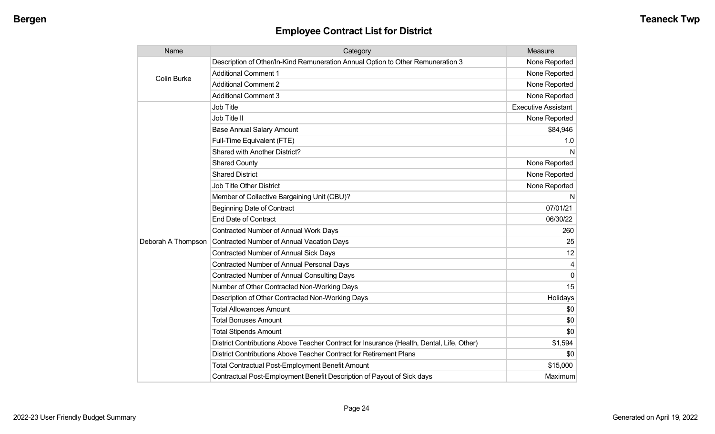| Name               | Category                                                                                  | Measure                    |
|--------------------|-------------------------------------------------------------------------------------------|----------------------------|
| <b>Colin Burke</b> | Description of Other/In-Kind Remuneration Annual Option to Other Remuneration 3           | None Reported              |
|                    | <b>Additional Comment 1</b>                                                               | None Reported              |
|                    | <b>Additional Comment 2</b>                                                               | None Reported              |
|                    | <b>Additional Comment 3</b>                                                               | None Reported              |
|                    | <b>Job Title</b>                                                                          | <b>Executive Assistant</b> |
|                    | Job Title II                                                                              | None Reported              |
|                    | <b>Base Annual Salary Amount</b>                                                          | \$84,946                   |
|                    | Full-Time Equivalent (FTE)                                                                | 1.0                        |
|                    | <b>Shared with Another District?</b>                                                      | N                          |
|                    | <b>Shared County</b>                                                                      | None Reported              |
|                    | <b>Shared District</b>                                                                    | None Reported              |
|                    | <b>Job Title Other District</b>                                                           | None Reported              |
|                    | Member of Collective Bargaining Unit (CBU)?                                               | N                          |
|                    | <b>Beginning Date of Contract</b>                                                         | 07/01/21                   |
|                    | <b>End Date of Contract</b>                                                               | 06/30/22                   |
|                    | Contracted Number of Annual Work Days                                                     | 260                        |
| Deborah A Thompson | <b>Contracted Number of Annual Vacation Days</b>                                          | 25                         |
|                    | Contracted Number of Annual Sick Days                                                     | 12                         |
|                    | <b>Contracted Number of Annual Personal Days</b>                                          | 4                          |
|                    | <b>Contracted Number of Annual Consulting Days</b>                                        | $\Omega$                   |
|                    | Number of Other Contracted Non-Working Days                                               | 15                         |
|                    | Description of Other Contracted Non-Working Days                                          | Holidays                   |
|                    | <b>Total Allowances Amount</b>                                                            | \$0                        |
|                    | <b>Total Bonuses Amount</b>                                                               | \$0                        |
|                    | <b>Total Stipends Amount</b>                                                              | \$0                        |
|                    | District Contributions Above Teacher Contract for Insurance (Health, Dental, Life, Other) | \$1,594                    |
|                    | District Contributions Above Teacher Contract for Retirement Plans                        | \$0                        |
|                    | <b>Total Contractual Post-Employment Benefit Amount</b>                                   | \$15,000                   |
|                    | Contractual Post-Employment Benefit Description of Payout of Sick days                    | Maximum                    |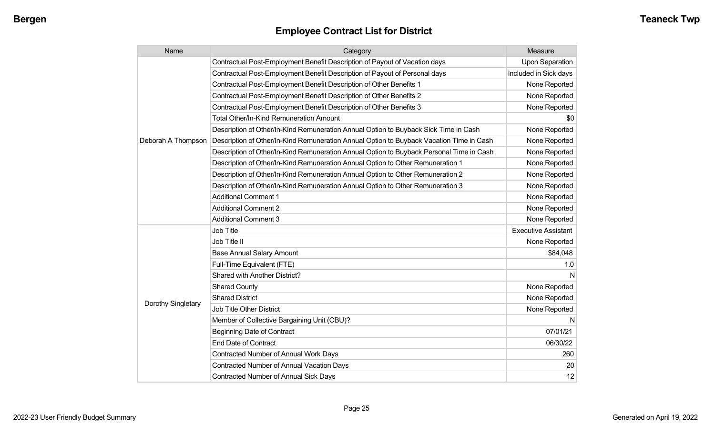| Name               | Category                                                                                 | Measure                    |
|--------------------|------------------------------------------------------------------------------------------|----------------------------|
|                    | Contractual Post-Employment Benefit Description of Payout of Vacation days               | <b>Upon Separation</b>     |
|                    | Contractual Post-Employment Benefit Description of Payout of Personal days               | Included in Sick days      |
|                    | Contractual Post-Employment Benefit Description of Other Benefits 1                      | None Reported              |
|                    | Contractual Post-Employment Benefit Description of Other Benefits 2                      | None Reported              |
|                    | Contractual Post-Employment Benefit Description of Other Benefits 3                      | None Reported              |
|                    | Total Other/In-Kind Remuneration Amount                                                  | \$0                        |
|                    | Description of Other/In-Kind Remuneration Annual Option to Buyback Sick Time in Cash     | None Reported              |
| Deborah A Thompson | Description of Other/In-Kind Remuneration Annual Option to Buyback Vacation Time in Cash | None Reported              |
|                    | Description of Other/In-Kind Remuneration Annual Option to Buyback Personal Time in Cash | None Reported              |
|                    | Description of Other/In-Kind Remuneration Annual Option to Other Remuneration 1          | None Reported              |
|                    | Description of Other/In-Kind Remuneration Annual Option to Other Remuneration 2          | None Reported              |
|                    | Description of Other/In-Kind Remuneration Annual Option to Other Remuneration 3          | None Reported              |
|                    | <b>Additional Comment 1</b>                                                              | None Reported              |
|                    | <b>Additional Comment 2</b>                                                              | None Reported              |
|                    | <b>Additional Comment 3</b>                                                              | None Reported              |
|                    | Job Title                                                                                | <b>Executive Assistant</b> |
|                    | Job Title II                                                                             | None Reported              |
|                    | <b>Base Annual Salary Amount</b>                                                         | \$84,048                   |
|                    | Full-Time Equivalent (FTE)                                                               | 1.0                        |
|                    | Shared with Another District?                                                            | N                          |
|                    | <b>Shared County</b>                                                                     | None Reported              |
| Dorothy Singletary | <b>Shared District</b>                                                                   | None Reported              |
|                    | Job Title Other District                                                                 | None Reported              |
|                    | Member of Collective Bargaining Unit (CBU)?                                              | N                          |
|                    | <b>Beginning Date of Contract</b>                                                        | 07/01/21                   |
|                    | <b>End Date of Contract</b>                                                              | 06/30/22                   |
|                    | Contracted Number of Annual Work Days                                                    | 260                        |
|                    | Contracted Number of Annual Vacation Days                                                | 20                         |
|                    | Contracted Number of Annual Sick Days                                                    | 12                         |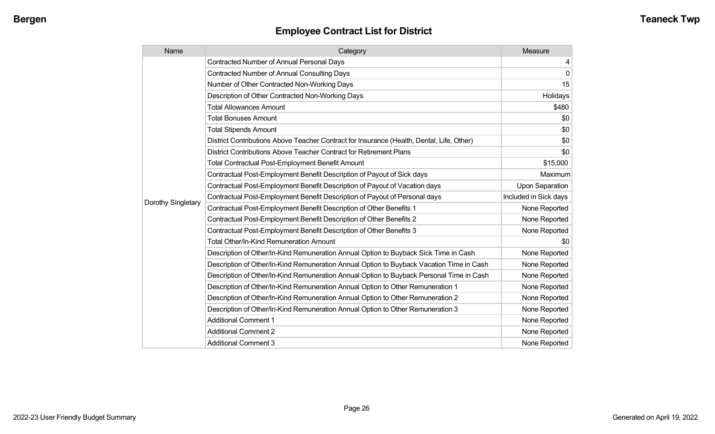| Name               | Category                                                                                  | Measure               |
|--------------------|-------------------------------------------------------------------------------------------|-----------------------|
|                    | <b>Contracted Number of Annual Personal Days</b>                                          | 4                     |
|                    | <b>Contracted Number of Annual Consulting Days</b>                                        | $\mathbf{0}$          |
|                    | Number of Other Contracted Non-Working Days                                               | 15                    |
|                    | Description of Other Contracted Non-Working Days                                          | Holidays              |
|                    | <b>Total Allowances Amount</b>                                                            | \$480                 |
|                    | <b>Total Bonuses Amount</b>                                                               | \$0                   |
|                    | <b>Total Stipends Amount</b>                                                              | \$0                   |
|                    | District Contributions Above Teacher Contract for Insurance (Health, Dental, Life, Other) | \$0                   |
|                    | District Contributions Above Teacher Contract for Retirement Plans                        | \$0                   |
|                    | <b>Total Contractual Post-Employment Benefit Amount</b>                                   | \$15,000              |
|                    | Contractual Post-Employment Benefit Description of Payout of Sick days                    | Maximum               |
|                    | Contractual Post-Employment Benefit Description of Payout of Vacation days                | Upon Separation       |
|                    | Contractual Post-Employment Benefit Description of Payout of Personal days                | Included in Sick days |
| Dorothy Singletary | Contractual Post-Employment Benefit Description of Other Benefits 1                       | None Reported         |
|                    | Contractual Post-Employment Benefit Description of Other Benefits 2                       | None Reported         |
|                    | Contractual Post-Employment Benefit Description of Other Benefits 3                       | None Reported         |
|                    | Total Other/In-Kind Remuneration Amount                                                   | \$0                   |
|                    | Description of Other/In-Kind Remuneration Annual Option to Buyback Sick Time in Cash      | None Reported         |
|                    | Description of Other/In-Kind Remuneration Annual Option to Buyback Vacation Time in Cash  | None Reported         |
|                    | Description of Other/In-Kind Remuneration Annual Option to Buyback Personal Time in Cash  | None Reported         |
|                    | Description of Other/In-Kind Remuneration Annual Option to Other Remuneration 1           | None Reported         |
|                    | Description of Other/In-Kind Remuneration Annual Option to Other Remuneration 2           | None Reported         |
|                    | Description of Other/In-Kind Remuneration Annual Option to Other Remuneration 3           | None Reported         |
|                    | <b>Additional Comment 1</b>                                                               | None Reported         |
|                    | <b>Additional Comment 2</b>                                                               | None Reported         |
|                    | <b>Additional Comment 3</b>                                                               | None Reported         |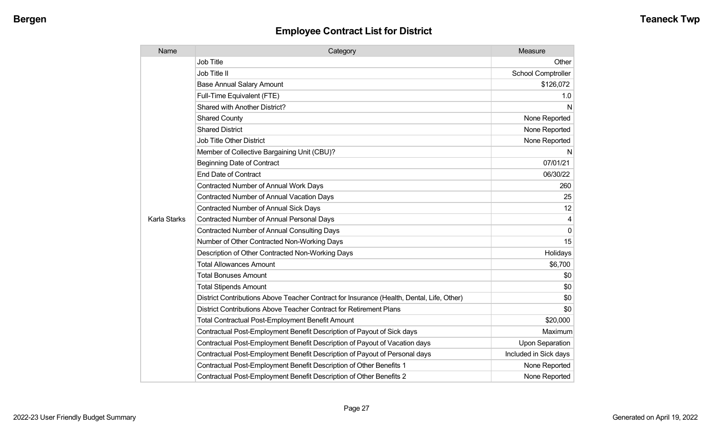| Name         | Category                                                                                  | Measure                   |
|--------------|-------------------------------------------------------------------------------------------|---------------------------|
|              | <b>Job Title</b>                                                                          | Other                     |
|              | Job Title II                                                                              | <b>School Comptroller</b> |
|              | <b>Base Annual Salary Amount</b>                                                          | \$126,072                 |
|              | Full-Time Equivalent (FTE)                                                                | 1.0                       |
|              | Shared with Another District?                                                             | N                         |
|              | <b>Shared County</b>                                                                      | None Reported             |
|              | <b>Shared District</b>                                                                    | None Reported             |
|              | <b>Job Title Other District</b>                                                           | None Reported             |
|              | Member of Collective Bargaining Unit (CBU)?                                               | N                         |
|              | <b>Beginning Date of Contract</b>                                                         | 07/01/21                  |
|              | End Date of Contract                                                                      | 06/30/22                  |
|              | <b>Contracted Number of Annual Work Days</b>                                              | 260                       |
|              | <b>Contracted Number of Annual Vacation Days</b>                                          | 25                        |
|              | <b>Contracted Number of Annual Sick Days</b>                                              | 12                        |
| Karla Starks | <b>Contracted Number of Annual Personal Days</b>                                          | 4                         |
|              | <b>Contracted Number of Annual Consulting Days</b>                                        | $\Omega$                  |
|              | Number of Other Contracted Non-Working Days                                               | 15                        |
|              | Description of Other Contracted Non-Working Days                                          | Holidays                  |
|              | <b>Total Allowances Amount</b>                                                            | \$6,700                   |
|              | <b>Total Bonuses Amount</b>                                                               | \$0                       |
|              | <b>Total Stipends Amount</b>                                                              | \$0                       |
|              | District Contributions Above Teacher Contract for Insurance (Health, Dental, Life, Other) | \$0                       |
|              | District Contributions Above Teacher Contract for Retirement Plans                        | \$0                       |
|              | <b>Total Contractual Post-Employment Benefit Amount</b>                                   | \$20,000                  |
|              | Contractual Post-Employment Benefit Description of Payout of Sick days                    | Maximum                   |
|              | Contractual Post-Employment Benefit Description of Payout of Vacation days                | <b>Upon Separation</b>    |
|              | Contractual Post-Employment Benefit Description of Payout of Personal days                | Included in Sick days     |
|              | Contractual Post-Employment Benefit Description of Other Benefits 1                       | None Reported             |
|              | Contractual Post-Employment Benefit Description of Other Benefits 2                       | None Reported             |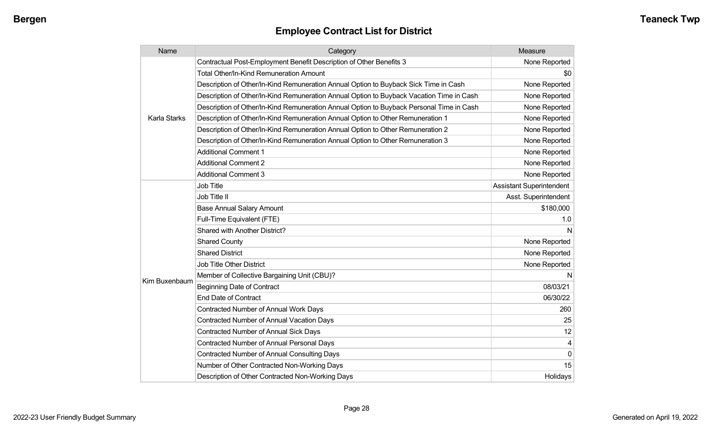| Name                | Category                                                                                 | Measure                         |
|---------------------|------------------------------------------------------------------------------------------|---------------------------------|
|                     | Contractual Post-Employment Benefit Description of Other Benefits 3                      | None Reported                   |
|                     | <b>Total Other/In-Kind Remuneration Amount</b>                                           | \$0                             |
|                     | Description of Other/In-Kind Remuneration Annual Option to Buyback Sick Time in Cash     | None Reported                   |
|                     | Description of Other/In-Kind Remuneration Annual Option to Buyback Vacation Time in Cash | None Reported                   |
|                     | Description of Other/In-Kind Remuneration Annual Option to Buyback Personal Time in Cash | None Reported                   |
| <b>Karla Starks</b> | Description of Other/In-Kind Remuneration Annual Option to Other Remuneration 1          | None Reported                   |
|                     | Description of Other/In-Kind Remuneration Annual Option to Other Remuneration 2          | None Reported                   |
|                     | Description of Other/In-Kind Remuneration Annual Option to Other Remuneration 3          | None Reported                   |
|                     | <b>Additional Comment 1</b>                                                              | None Reported                   |
|                     | <b>Additional Comment 2</b>                                                              | None Reported                   |
|                     | <b>Additional Comment 3</b>                                                              | None Reported                   |
|                     | <b>Job Title</b>                                                                         | <b>Assistant Superintendent</b> |
|                     | Job Title II                                                                             | Asst. Superintendent            |
|                     | <b>Base Annual Salary Amount</b>                                                         | \$180,000                       |
|                     | Full-Time Equivalent (FTE)                                                               | 1.0                             |
|                     | Shared with Another District?                                                            | N                               |
|                     | <b>Shared County</b>                                                                     | None Reported                   |
|                     | <b>Shared District</b>                                                                   | None Reported                   |
|                     | <b>Job Title Other District</b>                                                          | None Reported                   |
|                     | Member of Collective Bargaining Unit (CBU)?                                              | N                               |
| Kim Buxenbaum       | <b>Beginning Date of Contract</b>                                                        | 08/03/21                        |
|                     | <b>End Date of Contract</b>                                                              | 06/30/22                        |
|                     | Contracted Number of Annual Work Days                                                    | 260                             |
|                     | <b>Contracted Number of Annual Vacation Days</b>                                         | 25                              |
|                     | <b>Contracted Number of Annual Sick Days</b>                                             | 12                              |
|                     | <b>Contracted Number of Annual Personal Days</b>                                         |                                 |
|                     | <b>Contracted Number of Annual Consulting Days</b>                                       | $\Omega$                        |
|                     | Number of Other Contracted Non-Working Days                                              | 15                              |
|                     | Description of Other Contracted Non-Working Days                                         | Holidays                        |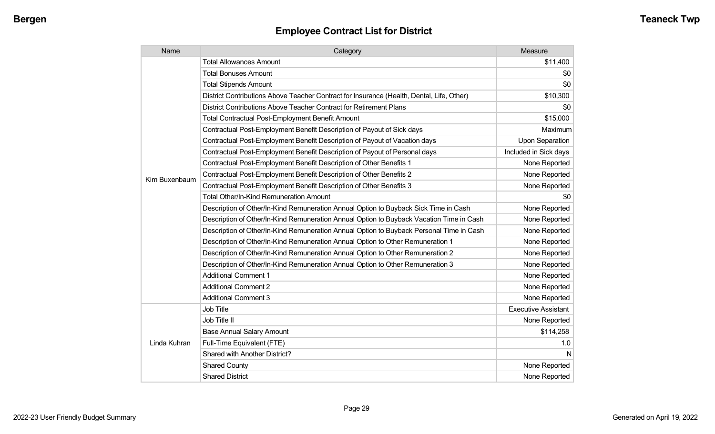| Name          | Category                                                                                  | Measure                    |
|---------------|-------------------------------------------------------------------------------------------|----------------------------|
|               | <b>Total Allowances Amount</b>                                                            | \$11,400                   |
|               | <b>Total Bonuses Amount</b>                                                               | \$0                        |
|               | <b>Total Stipends Amount</b>                                                              | \$0                        |
|               | District Contributions Above Teacher Contract for Insurance (Health, Dental, Life, Other) | \$10,300                   |
|               | District Contributions Above Teacher Contract for Retirement Plans                        | \$0                        |
|               | Total Contractual Post-Employment Benefit Amount                                          | \$15,000                   |
|               | Contractual Post-Employment Benefit Description of Payout of Sick days                    | Maximum                    |
|               | Contractual Post-Employment Benefit Description of Payout of Vacation days                | <b>Upon Separation</b>     |
|               | Contractual Post-Employment Benefit Description of Payout of Personal days                | Included in Sick days      |
|               | Contractual Post-Employment Benefit Description of Other Benefits 1                       | None Reported              |
| Kim Buxenbaum | Contractual Post-Employment Benefit Description of Other Benefits 2                       | None Reported              |
|               | Contractual Post-Employment Benefit Description of Other Benefits 3                       | None Reported              |
|               | <b>Total Other/In-Kind Remuneration Amount</b>                                            | \$0                        |
|               | Description of Other/In-Kind Remuneration Annual Option to Buyback Sick Time in Cash      | None Reported              |
|               | Description of Other/In-Kind Remuneration Annual Option to Buyback Vacation Time in Cash  | None Reported              |
|               | Description of Other/In-Kind Remuneration Annual Option to Buyback Personal Time in Cash  | None Reported              |
|               | Description of Other/In-Kind Remuneration Annual Option to Other Remuneration 1           | None Reported              |
|               | Description of Other/In-Kind Remuneration Annual Option to Other Remuneration 2           | None Reported              |
|               | Description of Other/In-Kind Remuneration Annual Option to Other Remuneration 3           | None Reported              |
|               | <b>Additional Comment 1</b>                                                               | None Reported              |
|               | <b>Additional Comment 2</b>                                                               | None Reported              |
|               | <b>Additional Comment 3</b>                                                               | None Reported              |
|               | <b>Job Title</b>                                                                          | <b>Executive Assistant</b> |
| Linda Kuhran  | Job Title II                                                                              | None Reported              |
|               | <b>Base Annual Salary Amount</b>                                                          | \$114,258                  |
|               | Full-Time Equivalent (FTE)                                                                | 1.0                        |
|               | Shared with Another District?                                                             | N                          |
|               | <b>Shared County</b>                                                                      | None Reported              |
|               | <b>Shared District</b>                                                                    | None Reported              |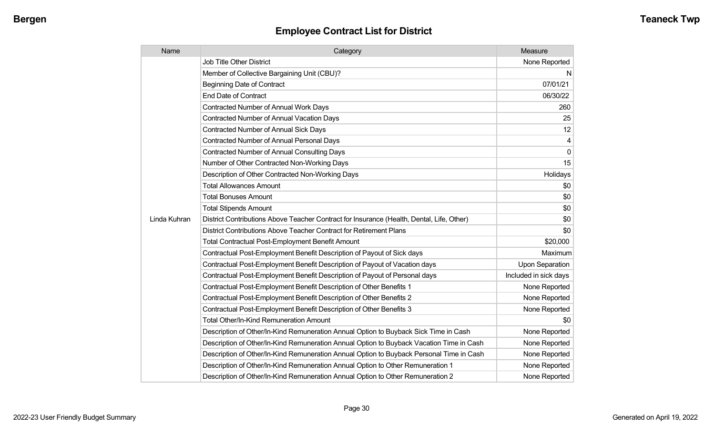| Name         | Category                                                                                  | Measure                |
|--------------|-------------------------------------------------------------------------------------------|------------------------|
|              | <b>Job Title Other District</b>                                                           | None Reported          |
|              | Member of Collective Bargaining Unit (CBU)?                                               | N                      |
|              | <b>Beginning Date of Contract</b>                                                         | 07/01/21               |
|              | <b>End Date of Contract</b>                                                               | 06/30/22               |
|              | Contracted Number of Annual Work Days                                                     | 260                    |
|              | <b>Contracted Number of Annual Vacation Days</b>                                          | 25                     |
|              | <b>Contracted Number of Annual Sick Days</b>                                              | 12                     |
|              | <b>Contracted Number of Annual Personal Days</b>                                          | 4                      |
|              | <b>Contracted Number of Annual Consulting Days</b>                                        | $\Omega$               |
|              | Number of Other Contracted Non-Working Days                                               | 15                     |
|              | Description of Other Contracted Non-Working Days                                          | Holidays               |
|              | <b>Total Allowances Amount</b>                                                            | \$0                    |
|              | <b>Total Bonuses Amount</b>                                                               | \$0                    |
|              | <b>Total Stipends Amount</b>                                                              | \$0                    |
| Linda Kuhran | District Contributions Above Teacher Contract for Insurance (Health, Dental, Life, Other) | \$0                    |
|              | District Contributions Above Teacher Contract for Retirement Plans                        | \$0                    |
|              | <b>Total Contractual Post-Employment Benefit Amount</b>                                   | \$20,000               |
|              | Contractual Post-Employment Benefit Description of Payout of Sick days                    | Maximum                |
|              | Contractual Post-Employment Benefit Description of Payout of Vacation days                | <b>Upon Separation</b> |
|              | Contractual Post-Employment Benefit Description of Payout of Personal days                | Included in sick days  |
|              | Contractual Post-Employment Benefit Description of Other Benefits 1                       | None Reported          |
|              | Contractual Post-Employment Benefit Description of Other Benefits 2                       | None Reported          |
|              | Contractual Post-Employment Benefit Description of Other Benefits 3                       | None Reported          |
|              | Total Other/In-Kind Remuneration Amount                                                   | \$0                    |
|              | Description of Other/In-Kind Remuneration Annual Option to Buyback Sick Time in Cash      | None Reported          |
|              | Description of Other/In-Kind Remuneration Annual Option to Buyback Vacation Time in Cash  | None Reported          |
|              | Description of Other/In-Kind Remuneration Annual Option to Buyback Personal Time in Cash  | None Reported          |
|              | Description of Other/In-Kind Remuneration Annual Option to Other Remuneration 1           | None Reported          |
|              | Description of Other/In-Kind Remuneration Annual Option to Other Remuneration 2           | None Reported          |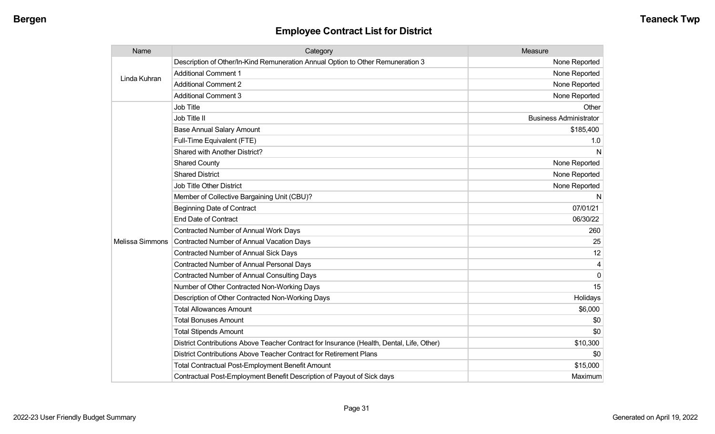| Name                   | Category                                                                                  | Measure                       |
|------------------------|-------------------------------------------------------------------------------------------|-------------------------------|
| Linda Kuhran           | Description of Other/In-Kind Remuneration Annual Option to Other Remuneration 3           | None Reported                 |
|                        | <b>Additional Comment 1</b>                                                               | None Reported                 |
|                        | <b>Additional Comment 2</b>                                                               | None Reported                 |
|                        | <b>Additional Comment 3</b>                                                               | None Reported                 |
|                        | Job Title                                                                                 | Other                         |
|                        | Job Title II                                                                              | <b>Business Administrator</b> |
|                        | <b>Base Annual Salary Amount</b>                                                          | \$185,400                     |
|                        | Full-Time Equivalent (FTE)                                                                | 1.0                           |
|                        | Shared with Another District?                                                             | N                             |
|                        | <b>Shared County</b>                                                                      | None Reported                 |
|                        | <b>Shared District</b>                                                                    | None Reported                 |
|                        | <b>Job Title Other District</b>                                                           | None Reported                 |
|                        | Member of Collective Bargaining Unit (CBU)?                                               | N                             |
|                        | <b>Beginning Date of Contract</b>                                                         | 07/01/21                      |
|                        | <b>End Date of Contract</b>                                                               | 06/30/22                      |
|                        | Contracted Number of Annual Work Days                                                     | 260                           |
| <b>Melissa Simmons</b> | Contracted Number of Annual Vacation Days                                                 | 25                            |
|                        | <b>Contracted Number of Annual Sick Days</b>                                              | 12                            |
|                        | Contracted Number of Annual Personal Days                                                 | 4                             |
|                        | <b>Contracted Number of Annual Consulting Days</b>                                        | $\overline{0}$                |
|                        | Number of Other Contracted Non-Working Days                                               | 15                            |
|                        | Description of Other Contracted Non-Working Days                                          | Holidays                      |
|                        | <b>Total Allowances Amount</b>                                                            | \$6,000                       |
|                        | <b>Total Bonuses Amount</b>                                                               | \$0                           |
|                        | <b>Total Stipends Amount</b>                                                              | \$0                           |
|                        | District Contributions Above Teacher Contract for Insurance (Health, Dental, Life, Other) | \$10,300                      |
|                        | District Contributions Above Teacher Contract for Retirement Plans                        | \$0                           |
|                        | <b>Total Contractual Post-Employment Benefit Amount</b>                                   | \$15,000                      |
|                        | Contractual Post-Employment Benefit Description of Payout of Sick days                    | Maximum                       |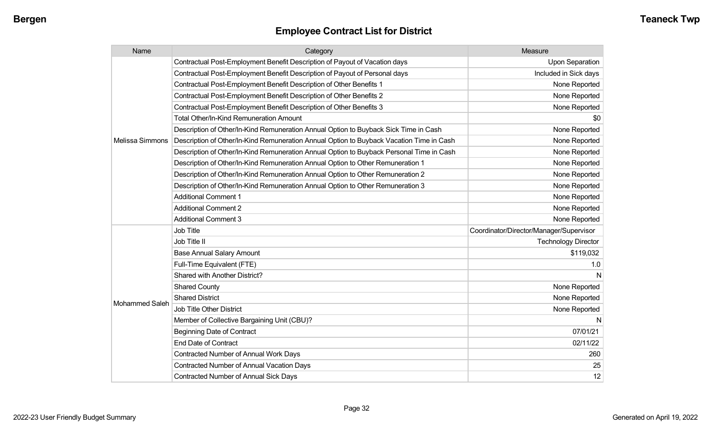| Name                  | Category                                                                                 | Measure                                 |
|-----------------------|------------------------------------------------------------------------------------------|-----------------------------------------|
|                       | Contractual Post-Employment Benefit Description of Payout of Vacation days               | Upon Separation                         |
|                       | Contractual Post-Employment Benefit Description of Payout of Personal days               | Included in Sick days                   |
|                       | Contractual Post-Employment Benefit Description of Other Benefits 1                      | None Reported                           |
|                       | Contractual Post-Employment Benefit Description of Other Benefits 2                      | None Reported                           |
|                       | Contractual Post-Employment Benefit Description of Other Benefits 3                      | None Reported                           |
|                       | <b>Total Other/In-Kind Remuneration Amount</b>                                           | \$0                                     |
|                       | Description of Other/In-Kind Remuneration Annual Option to Buyback Sick Time in Cash     | None Reported                           |
| Melissa Simmons       | Description of Other/In-Kind Remuneration Annual Option to Buyback Vacation Time in Cash | None Reported                           |
|                       | Description of Other/In-Kind Remuneration Annual Option to Buyback Personal Time in Cash | None Reported                           |
|                       | Description of Other/In-Kind Remuneration Annual Option to Other Remuneration 1          | None Reported                           |
|                       | Description of Other/In-Kind Remuneration Annual Option to Other Remuneration 2          | None Reported                           |
|                       | Description of Other/In-Kind Remuneration Annual Option to Other Remuneration 3          | None Reported                           |
|                       | <b>Additional Comment 1</b>                                                              | None Reported                           |
|                       | <b>Additional Comment 2</b>                                                              | None Reported                           |
|                       | <b>Additional Comment 3</b>                                                              | None Reported                           |
|                       | Job Title                                                                                | Coordinator/Director/Manager/Supervisor |
|                       | Job Title II                                                                             | <b>Technology Director</b>              |
|                       | <b>Base Annual Salary Amount</b>                                                         | \$119,032                               |
|                       | Full-Time Equivalent (FTE)                                                               | 1.0                                     |
|                       | Shared with Another District?                                                            | N                                       |
|                       | <b>Shared County</b>                                                                     | None Reported                           |
|                       | <b>Shared District</b>                                                                   | None Reported                           |
| <b>Mohammed Saleh</b> | Job Title Other District                                                                 | None Reported                           |
|                       | Member of Collective Bargaining Unit (CBU)?                                              | N                                       |
|                       | <b>Beginning Date of Contract</b>                                                        | 07/01/21                                |
|                       | <b>End Date of Contract</b>                                                              | 02/11/22                                |
|                       | Contracted Number of Annual Work Days                                                    | 260                                     |
|                       | Contracted Number of Annual Vacation Days                                                | 25                                      |
|                       | <b>Contracted Number of Annual Sick Days</b>                                             | 12                                      |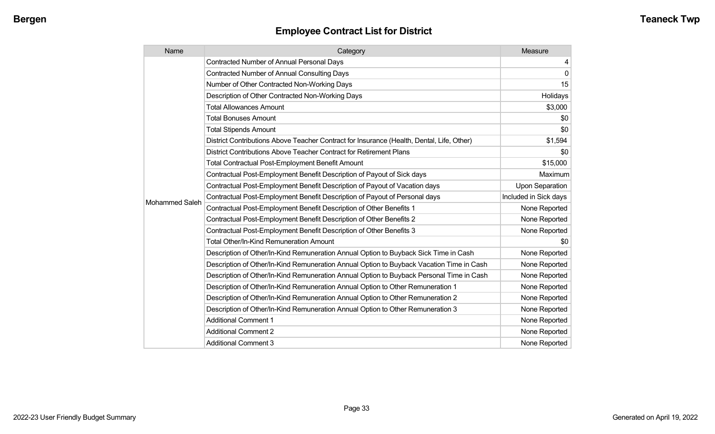| Name                  | Category                                                                                  | Measure               |
|-----------------------|-------------------------------------------------------------------------------------------|-----------------------|
|                       | <b>Contracted Number of Annual Personal Days</b>                                          | 4                     |
|                       | <b>Contracted Number of Annual Consulting Days</b>                                        | $\mathbf{0}$          |
|                       | Number of Other Contracted Non-Working Days                                               | 15                    |
|                       | Description of Other Contracted Non-Working Days                                          | Holidays              |
|                       | <b>Total Allowances Amount</b>                                                            | \$3,000               |
|                       | <b>Total Bonuses Amount</b>                                                               | \$0                   |
|                       | <b>Total Stipends Amount</b>                                                              | \$0                   |
|                       | District Contributions Above Teacher Contract for Insurance (Health, Dental, Life, Other) | \$1,594               |
|                       | District Contributions Above Teacher Contract for Retirement Plans                        | \$0                   |
|                       | <b>Total Contractual Post-Employment Benefit Amount</b>                                   | \$15,000              |
|                       | Contractual Post-Employment Benefit Description of Payout of Sick days                    | Maximum               |
|                       | Contractual Post-Employment Benefit Description of Payout of Vacation days                | Upon Separation       |
| <b>Mohammed Saleh</b> | Contractual Post-Employment Benefit Description of Payout of Personal days                | Included in Sick days |
|                       | Contractual Post-Employment Benefit Description of Other Benefits 1                       | None Reported         |
|                       | Contractual Post-Employment Benefit Description of Other Benefits 2                       | None Reported         |
|                       | Contractual Post-Employment Benefit Description of Other Benefits 3                       | None Reported         |
|                       | <b>Total Other/In-Kind Remuneration Amount</b>                                            | \$0                   |
|                       | Description of Other/In-Kind Remuneration Annual Option to Buyback Sick Time in Cash      | None Reported         |
|                       | Description of Other/In-Kind Remuneration Annual Option to Buyback Vacation Time in Cash  | None Reported         |
|                       | Description of Other/In-Kind Remuneration Annual Option to Buyback Personal Time in Cash  | None Reported         |
|                       | Description of Other/In-Kind Remuneration Annual Option to Other Remuneration 1           | None Reported         |
|                       | Description of Other/In-Kind Remuneration Annual Option to Other Remuneration 2           | None Reported         |
|                       | Description of Other/In-Kind Remuneration Annual Option to Other Remuneration 3           | None Reported         |
|                       | <b>Additional Comment 1</b>                                                               | None Reported         |
|                       | <b>Additional Comment 2</b>                                                               | None Reported         |
|                       | <b>Additional Comment 3</b>                                                               | None Reported         |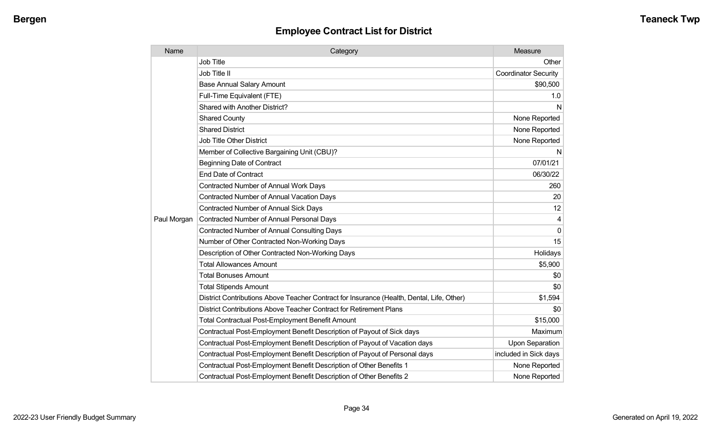| Name        | Category                                                                                  | Measure                     |
|-------------|-------------------------------------------------------------------------------------------|-----------------------------|
|             | Job Title                                                                                 | Other                       |
|             | Job Title II                                                                              | <b>Coordinator Security</b> |
|             | <b>Base Annual Salary Amount</b>                                                          | \$90,500                    |
|             | Full-Time Equivalent (FTE)                                                                | 1.0                         |
|             | Shared with Another District?                                                             | N                           |
|             | <b>Shared County</b>                                                                      | None Reported               |
|             | <b>Shared District</b>                                                                    | None Reported               |
|             | <b>Job Title Other District</b>                                                           | None Reported               |
|             | Member of Collective Bargaining Unit (CBU)?                                               | N                           |
|             | <b>Beginning Date of Contract</b>                                                         | 07/01/21                    |
|             | <b>End Date of Contract</b>                                                               | 06/30/22                    |
|             | <b>Contracted Number of Annual Work Days</b>                                              | 260                         |
|             | Contracted Number of Annual Vacation Days                                                 | 20                          |
|             | <b>Contracted Number of Annual Sick Days</b>                                              | 12                          |
| Paul Morgan | <b>Contracted Number of Annual Personal Days</b>                                          | 4                           |
|             | <b>Contracted Number of Annual Consulting Days</b>                                        | $\mathbf{0}$                |
|             | Number of Other Contracted Non-Working Days                                               | 15                          |
|             | Description of Other Contracted Non-Working Days                                          | Holidays                    |
|             | <b>Total Allowances Amount</b>                                                            | \$5,900                     |
|             | <b>Total Bonuses Amount</b>                                                               | \$0                         |
|             | <b>Total Stipends Amount</b>                                                              | \$0                         |
|             | District Contributions Above Teacher Contract for Insurance (Health, Dental, Life, Other) | \$1,594                     |
|             | District Contributions Above Teacher Contract for Retirement Plans                        | \$0                         |
|             | <b>Total Contractual Post-Employment Benefit Amount</b>                                   | \$15,000                    |
|             | Contractual Post-Employment Benefit Description of Payout of Sick days                    | Maximum                     |
|             | Contractual Post-Employment Benefit Description of Payout of Vacation days                | <b>Upon Separation</b>      |
|             | Contractual Post-Employment Benefit Description of Payout of Personal days                | included in Sick days       |
|             | Contractual Post-Employment Benefit Description of Other Benefits 1                       | None Reported               |
|             | Contractual Post-Employment Benefit Description of Other Benefits 2                       | None Reported               |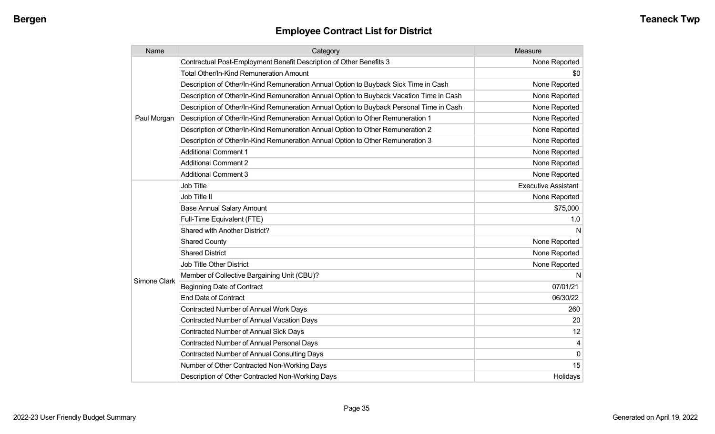| Name         | Category                                                                                 | Measure                    |
|--------------|------------------------------------------------------------------------------------------|----------------------------|
|              | Contractual Post-Employment Benefit Description of Other Benefits 3                      | None Reported              |
|              | Total Other/In-Kind Remuneration Amount                                                  | \$0                        |
|              | Description of Other/In-Kind Remuneration Annual Option to Buyback Sick Time in Cash     | None Reported              |
|              | Description of Other/In-Kind Remuneration Annual Option to Buyback Vacation Time in Cash | None Reported              |
|              | Description of Other/In-Kind Remuneration Annual Option to Buyback Personal Time in Cash | None Reported              |
| Paul Morgan  | Description of Other/In-Kind Remuneration Annual Option to Other Remuneration 1          | None Reported              |
|              | Description of Other/In-Kind Remuneration Annual Option to Other Remuneration 2          | None Reported              |
|              | Description of Other/In-Kind Remuneration Annual Option to Other Remuneration 3          | None Reported              |
|              | <b>Additional Comment 1</b>                                                              | None Reported              |
|              | <b>Additional Comment 2</b>                                                              | None Reported              |
|              | <b>Additional Comment 3</b>                                                              | None Reported              |
|              | <b>Job Title</b>                                                                         | <b>Executive Assistant</b> |
|              | Job Title II                                                                             | None Reported              |
|              | <b>Base Annual Salary Amount</b>                                                         | \$75,000                   |
|              | Full-Time Equivalent (FTE)                                                               | 1.0                        |
|              | Shared with Another District?                                                            | N                          |
|              | <b>Shared County</b>                                                                     | None Reported              |
|              | <b>Shared District</b>                                                                   | None Reported              |
|              | <b>Job Title Other District</b>                                                          | None Reported              |
|              | Member of Collective Bargaining Unit (CBU)?                                              | N                          |
| Simone Clark | <b>Beginning Date of Contract</b>                                                        | 07/01/21                   |
|              | <b>End Date of Contract</b>                                                              | 06/30/22                   |
|              | <b>Contracted Number of Annual Work Days</b>                                             | 260                        |
|              | <b>Contracted Number of Annual Vacation Days</b>                                         | 20                         |
|              | <b>Contracted Number of Annual Sick Days</b>                                             | 12                         |
|              | <b>Contracted Number of Annual Personal Days</b>                                         |                            |
|              | Contracted Number of Annual Consulting Days                                              | $\Omega$                   |
|              | Number of Other Contracted Non-Working Days                                              | 15                         |
|              | Description of Other Contracted Non-Working Days                                         | Holidays                   |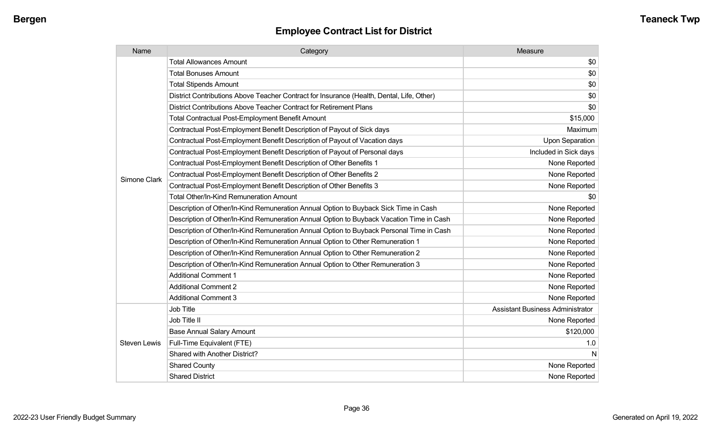| Name                | Category                                                                                  | Measure                                 |
|---------------------|-------------------------------------------------------------------------------------------|-----------------------------------------|
|                     | <b>Total Allowances Amount</b>                                                            | \$0                                     |
|                     | <b>Total Bonuses Amount</b>                                                               | \$0                                     |
|                     | <b>Total Stipends Amount</b>                                                              | \$0                                     |
|                     | District Contributions Above Teacher Contract for Insurance (Health, Dental, Life, Other) | \$0                                     |
|                     | District Contributions Above Teacher Contract for Retirement Plans                        | \$0                                     |
|                     | <b>Total Contractual Post-Employment Benefit Amount</b>                                   | \$15,000                                |
|                     | Contractual Post-Employment Benefit Description of Payout of Sick days                    | Maximum                                 |
|                     | Contractual Post-Employment Benefit Description of Payout of Vacation days                | <b>Upon Separation</b>                  |
|                     | Contractual Post-Employment Benefit Description of Payout of Personal days                | Included in Sick days                   |
|                     | Contractual Post-Employment Benefit Description of Other Benefits 1                       | None Reported                           |
| Simone Clark        | Contractual Post-Employment Benefit Description of Other Benefits 2                       | None Reported                           |
|                     | Contractual Post-Employment Benefit Description of Other Benefits 3                       | None Reported                           |
|                     | Total Other/In-Kind Remuneration Amount                                                   | \$0                                     |
|                     | Description of Other/In-Kind Remuneration Annual Option to Buyback Sick Time in Cash      | None Reported                           |
|                     | Description of Other/In-Kind Remuneration Annual Option to Buyback Vacation Time in Cash  | None Reported                           |
|                     | Description of Other/In-Kind Remuneration Annual Option to Buyback Personal Time in Cash  | None Reported                           |
|                     | Description of Other/In-Kind Remuneration Annual Option to Other Remuneration 1           | None Reported                           |
|                     | Description of Other/In-Kind Remuneration Annual Option to Other Remuneration 2           | None Reported                           |
|                     | Description of Other/In-Kind Remuneration Annual Option to Other Remuneration 3           | None Reported                           |
|                     | <b>Additional Comment 1</b>                                                               | None Reported                           |
|                     | <b>Additional Comment 2</b>                                                               | None Reported                           |
|                     | <b>Additional Comment 3</b>                                                               | None Reported                           |
|                     | Job Title                                                                                 | <b>Assistant Business Administrator</b> |
|                     | Job Title II                                                                              | None Reported                           |
|                     | <b>Base Annual Salary Amount</b>                                                          | \$120,000                               |
| <b>Steven Lewis</b> | Full-Time Equivalent (FTE)                                                                | 1.0                                     |
|                     | Shared with Another District?                                                             | N                                       |
|                     | <b>Shared County</b>                                                                      | None Reported                           |
|                     | <b>Shared District</b>                                                                    | None Reported                           |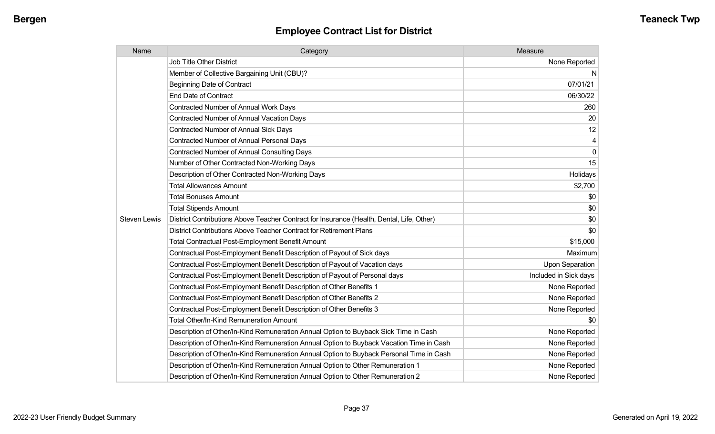| Name                | Category                                                                                  | Measure                |
|---------------------|-------------------------------------------------------------------------------------------|------------------------|
|                     | Job Title Other District                                                                  | None Reported          |
|                     | Member of Collective Bargaining Unit (CBU)?                                               | N                      |
|                     | Beginning Date of Contract                                                                | 07/01/21               |
|                     | <b>End Date of Contract</b>                                                               | 06/30/22               |
|                     | Contracted Number of Annual Work Days                                                     | 260                    |
|                     | <b>Contracted Number of Annual Vacation Days</b>                                          | 20                     |
|                     | <b>Contracted Number of Annual Sick Days</b>                                              | 12                     |
|                     | <b>Contracted Number of Annual Personal Days</b>                                          | 4                      |
|                     | <b>Contracted Number of Annual Consulting Days</b>                                        | 0                      |
|                     | Number of Other Contracted Non-Working Days                                               | 15                     |
|                     | Description of Other Contracted Non-Working Days                                          | Holidays               |
|                     | <b>Total Allowances Amount</b>                                                            | \$2,700                |
|                     | <b>Total Bonuses Amount</b>                                                               | \$0                    |
|                     | <b>Total Stipends Amount</b>                                                              | \$0                    |
| <b>Steven Lewis</b> | District Contributions Above Teacher Contract for Insurance (Health, Dental, Life, Other) | \$0                    |
|                     | District Contributions Above Teacher Contract for Retirement Plans                        | \$0                    |
|                     | <b>Total Contractual Post-Employment Benefit Amount</b>                                   | \$15,000               |
|                     | Contractual Post-Employment Benefit Description of Payout of Sick days                    | Maximum                |
|                     | Contractual Post-Employment Benefit Description of Payout of Vacation days                | <b>Upon Separation</b> |
|                     | Contractual Post-Employment Benefit Description of Payout of Personal days                | Included in Sick days  |
|                     | Contractual Post-Employment Benefit Description of Other Benefits 1                       | None Reported          |
|                     | Contractual Post-Employment Benefit Description of Other Benefits 2                       | None Reported          |
|                     | Contractual Post-Employment Benefit Description of Other Benefits 3                       | None Reported          |
|                     | Total Other/In-Kind Remuneration Amount                                                   | \$0                    |
|                     | Description of Other/In-Kind Remuneration Annual Option to Buyback Sick Time in Cash      | None Reported          |
|                     | Description of Other/In-Kind Remuneration Annual Option to Buyback Vacation Time in Cash  | None Reported          |
|                     | Description of Other/In-Kind Remuneration Annual Option to Buyback Personal Time in Cash  | None Reported          |
|                     | Description of Other/In-Kind Remuneration Annual Option to Other Remuneration 1           | None Reported          |
|                     | Description of Other/In-Kind Remuneration Annual Option to Other Remuneration 2           | None Reported          |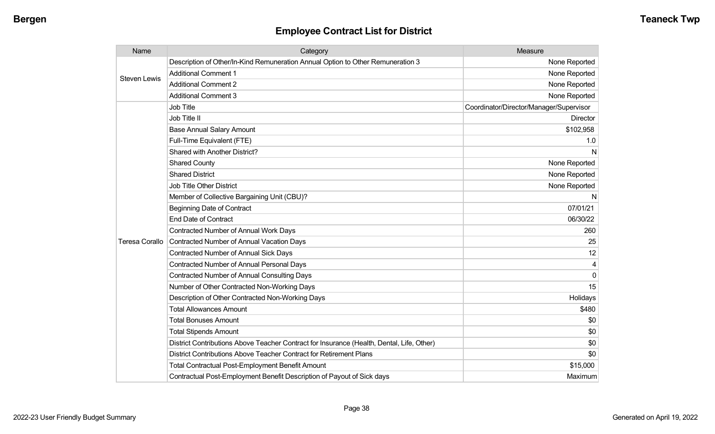| Name                  | Category                                                                                  | Measure                                 |
|-----------------------|-------------------------------------------------------------------------------------------|-----------------------------------------|
| Steven Lewis          | Description of Other/In-Kind Remuneration Annual Option to Other Remuneration 3           | None Reported                           |
|                       | <b>Additional Comment 1</b>                                                               | None Reported                           |
|                       | <b>Additional Comment 2</b>                                                               | None Reported                           |
|                       | <b>Additional Comment 3</b>                                                               | None Reported                           |
|                       | Job Title                                                                                 | Coordinator/Director/Manager/Supervisor |
|                       | Job Title II                                                                              | <b>Director</b>                         |
|                       | <b>Base Annual Salary Amount</b>                                                          | \$102,958                               |
|                       | Full-Time Equivalent (FTE)                                                                | 1.0                                     |
|                       | Shared with Another District?                                                             | N                                       |
|                       | <b>Shared County</b>                                                                      | None Reported                           |
|                       | <b>Shared District</b>                                                                    | None Reported                           |
|                       | <b>Job Title Other District</b>                                                           | None Reported                           |
|                       | Member of Collective Bargaining Unit (CBU)?                                               | N                                       |
| <b>Teresa Corallo</b> | <b>Beginning Date of Contract</b>                                                         | 07/01/21                                |
|                       | <b>End Date of Contract</b>                                                               | 06/30/22                                |
|                       | Contracted Number of Annual Work Days                                                     | 260                                     |
|                       | Contracted Number of Annual Vacation Days                                                 | 25                                      |
|                       | Contracted Number of Annual Sick Days                                                     | 12                                      |
|                       | <b>Contracted Number of Annual Personal Days</b>                                          |                                         |
|                       | <b>Contracted Number of Annual Consulting Days</b>                                        | $\Omega$                                |
|                       | Number of Other Contracted Non-Working Days                                               | 15                                      |
|                       | Description of Other Contracted Non-Working Days                                          | Holidays                                |
|                       | <b>Total Allowances Amount</b>                                                            | \$480                                   |
|                       | <b>Total Bonuses Amount</b>                                                               | \$0                                     |
|                       | <b>Total Stipends Amount</b>                                                              | \$0                                     |
|                       | District Contributions Above Teacher Contract for Insurance (Health, Dental, Life, Other) | \$0                                     |
|                       | District Contributions Above Teacher Contract for Retirement Plans                        | \$0                                     |
|                       | <b>Total Contractual Post-Employment Benefit Amount</b>                                   | \$15,000                                |
|                       | Contractual Post-Employment Benefit Description of Payout of Sick days                    | Maximum                                 |